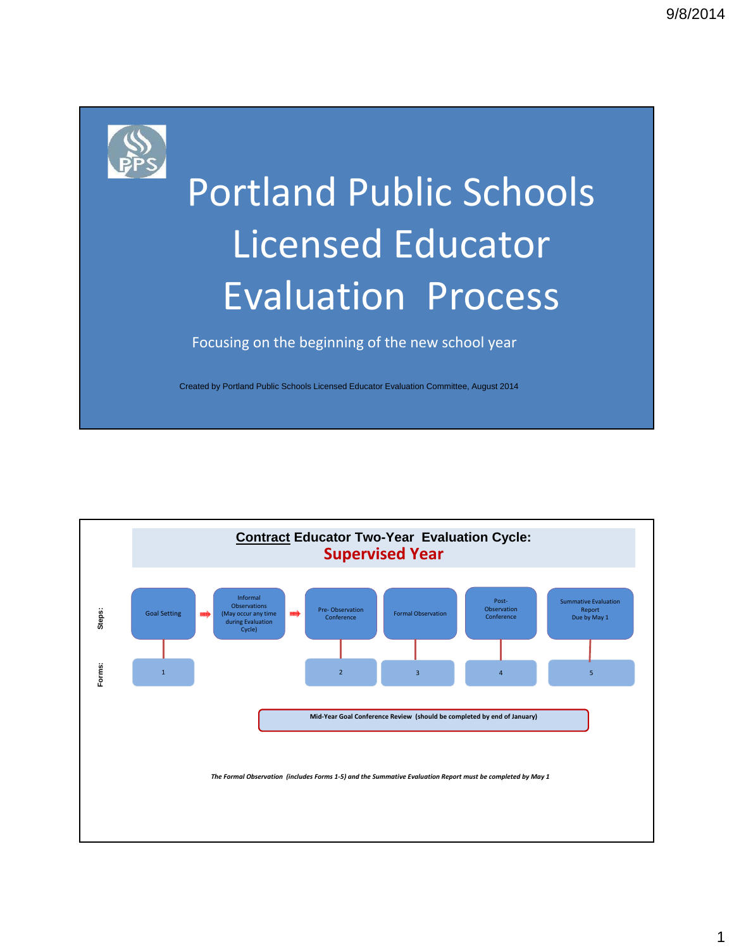

# Portland Public Schools Licensed Educator Evaluation Process

Focusing on the beginning of the new school year

Created by Portland Public Schools Licensed Educator Evaluation Committee, August 2014

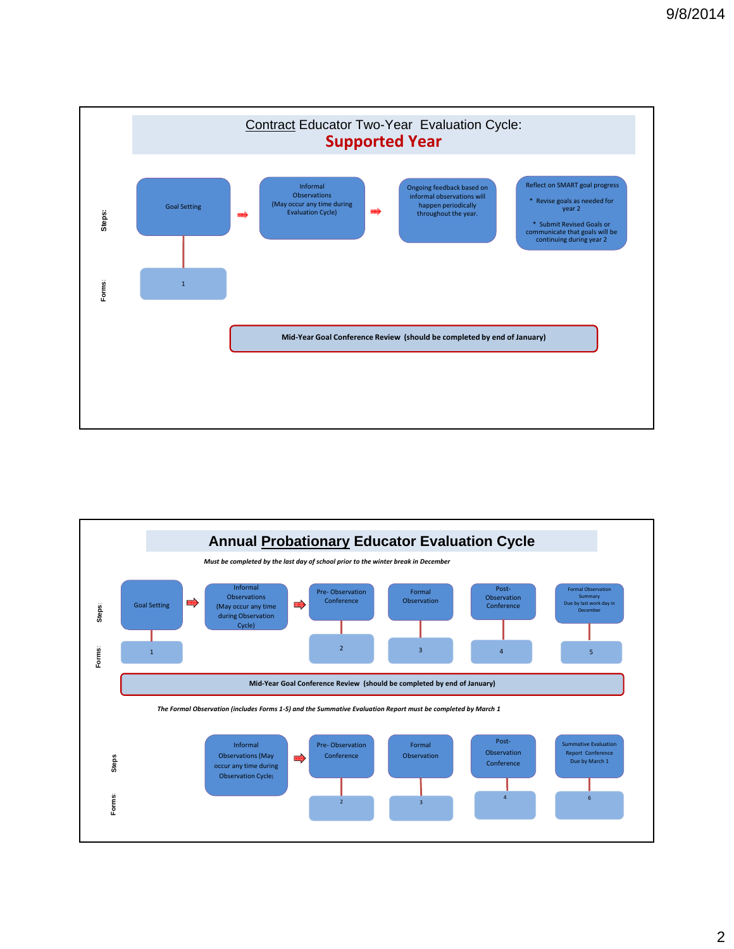

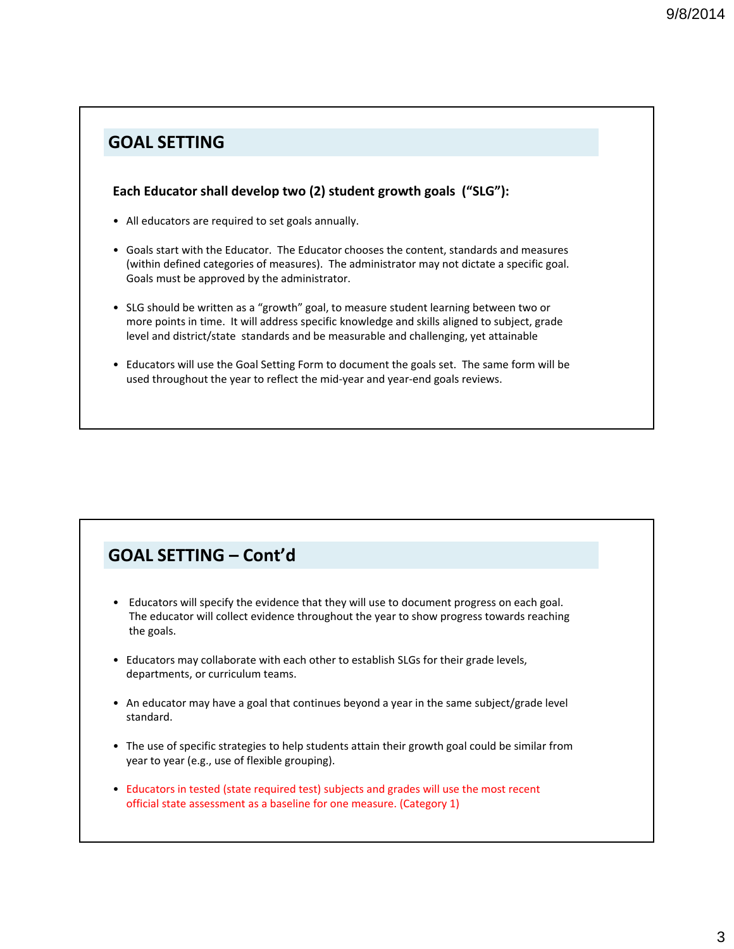## **GOAL SETTING**

#### **Each Educator shall develop two (2) student growth goals ("SLG"):**

- All educators are required to set goals annually.
- Goals start with the Educator. The Educator chooses the content, standards and measures (within defined categories of measures). The administrator may not dictate a specific goal. Goals must be approved by the administrator.
- SLG should be written as a "growth" goal, to measure student learning between two or more points in time. It will address specific knowledge and skills aligned to subject, grade level and district/state standards and be measurable and challenging, yet attainable
- Educators will use the Goal Setting Form to document the goals set. The same form will be used throughout the year to reflect the mid-year and year-end goals reviews.

## **GOAL SETTING – Cont'd**

- Educators will specify the evidence that they will use to document progress on each goal. The educator will collect evidence throughout the year to show progress towards reaching the goals.
- Educators may collaborate with each other to establish SLGs for their grade levels, departments, or curriculum teams.
- An educator may have a goal that continues beyond a year in the same subject/grade level standard.
- The use of specific strategies to help students attain their growth goal could be similar from year to year (e.g., use of flexible grouping).
- Educators in tested (state required test) subjects and grades will use the most recent official state assessment as a baseline for one measure. (Category 1)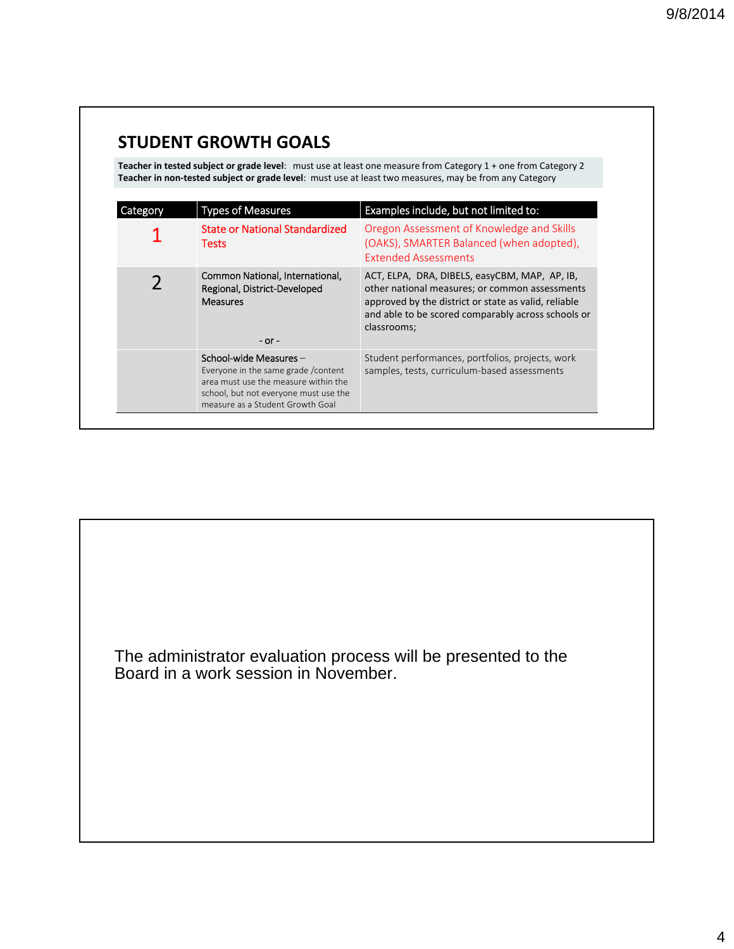## **STUDENT GROWTH GOALS**

**Teacher in tested subject or grade level**: must use at least one measure from Category 1 + one from Category 2 **Teacher in non‐tested subject or grade level**: must use at least two measures, may be from any Category

| Categorv | <b>Types of Measures</b>                                                                                                                                                            | Examples include, but not limited to:                                                                                                                                                                                        |
|----------|-------------------------------------------------------------------------------------------------------------------------------------------------------------------------------------|------------------------------------------------------------------------------------------------------------------------------------------------------------------------------------------------------------------------------|
|          | <b>State or National Standardized</b><br><b>Tests</b>                                                                                                                               | Oregon Assessment of Knowledge and Skills<br>(OAKS), SMARTER Balanced (when adopted),<br>Extended Assessments                                                                                                                |
|          | Common National, International,<br>Regional, District-Developed<br><b>Measures</b><br>$-$ or $-$                                                                                    | ACT, ELPA, DRA, DIBELS, easyCBM, MAP, AP, IB,<br>other national measures; or common assessments<br>approved by the district or state as valid, reliable<br>and able to be scored comparably across schools or<br>classrooms; |
|          | School-wide Measures -<br>Everyone in the same grade / content<br>area must use the measure within the<br>school, but not everyone must use the<br>measure as a Student Growth Goal | Student performances, portfolios, projects, work<br>samples, tests, curriculum-based assessments                                                                                                                             |

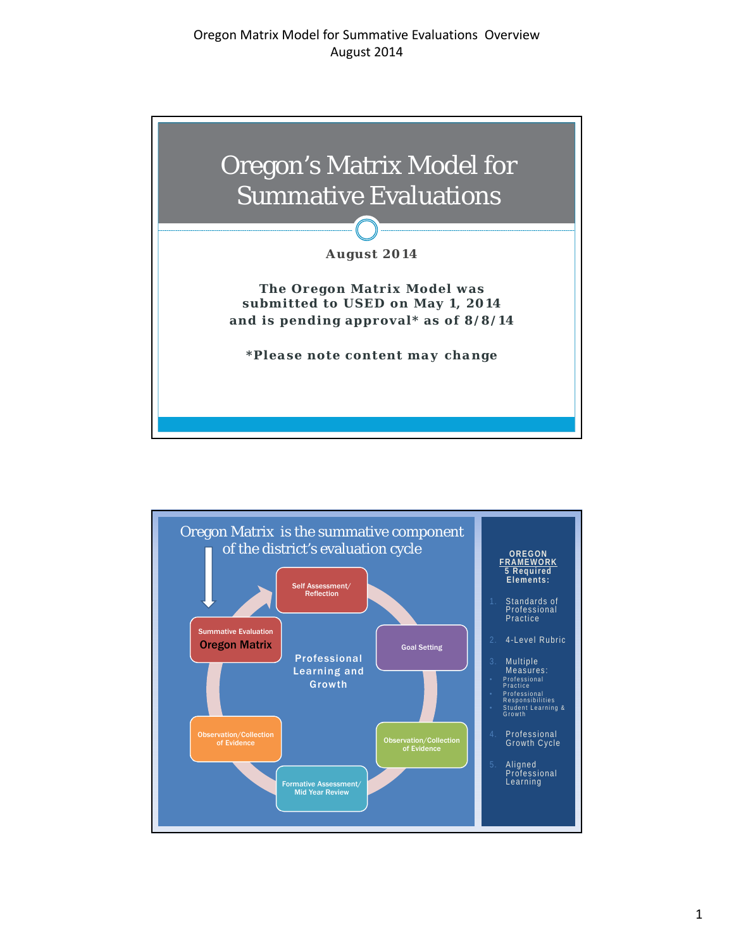

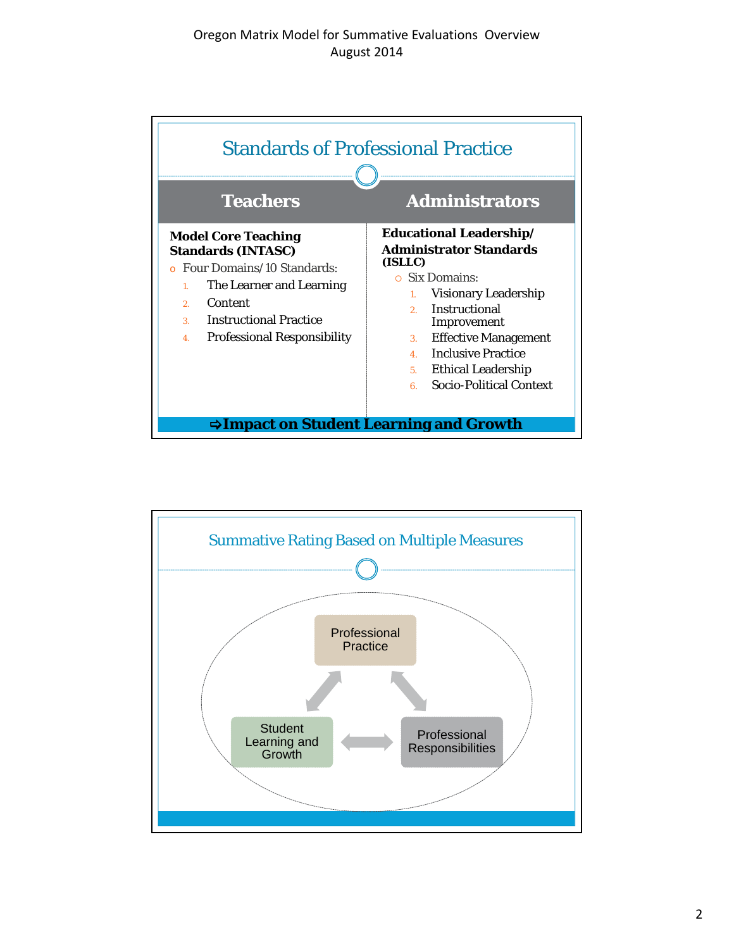

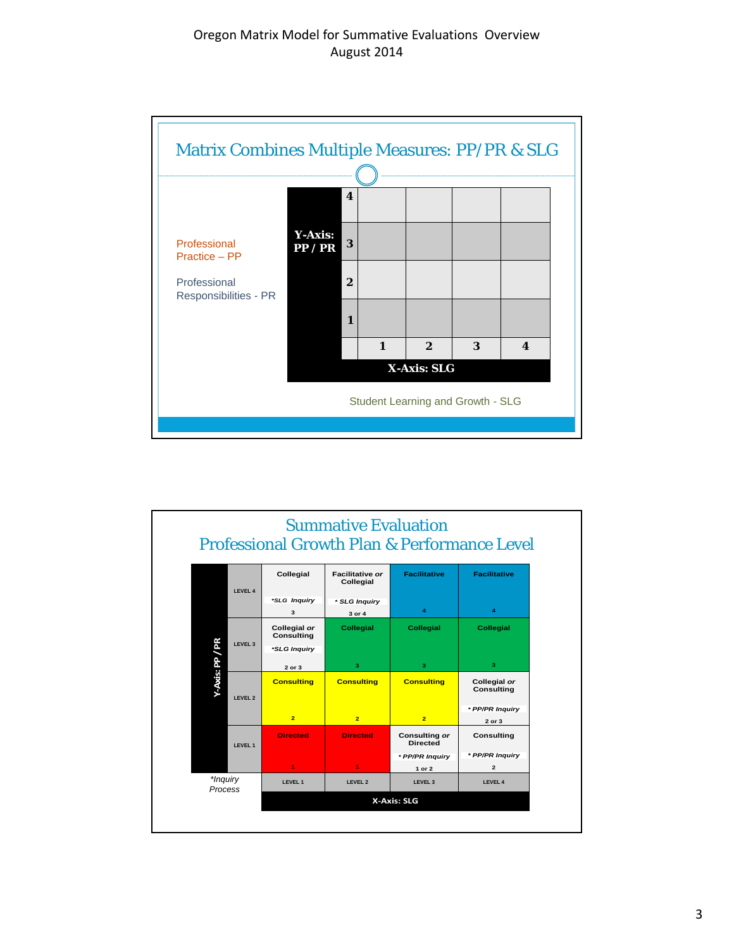

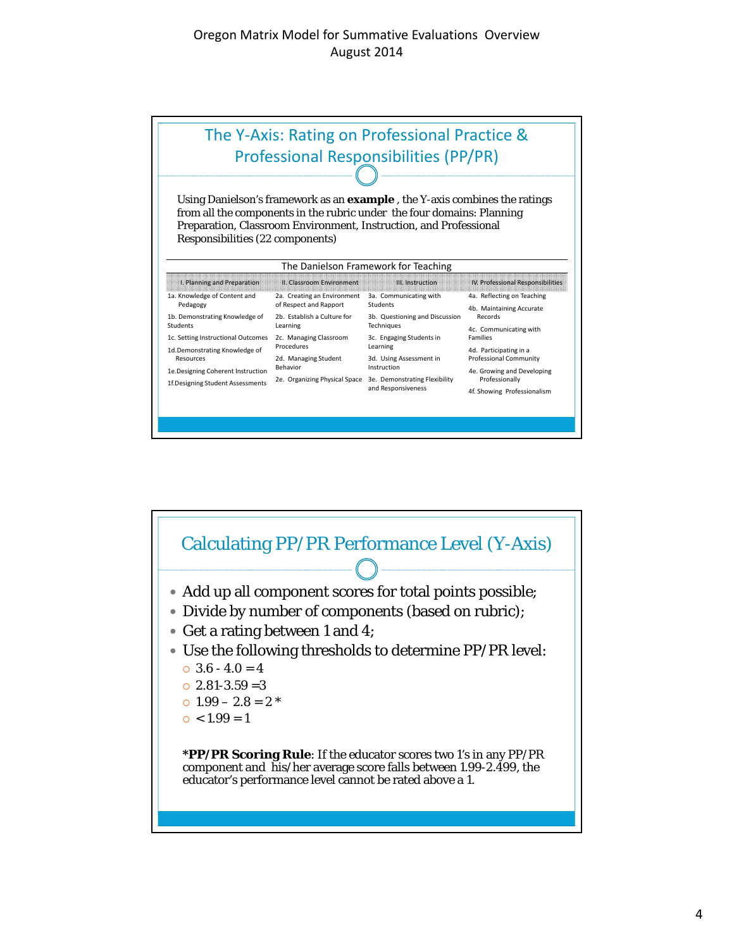

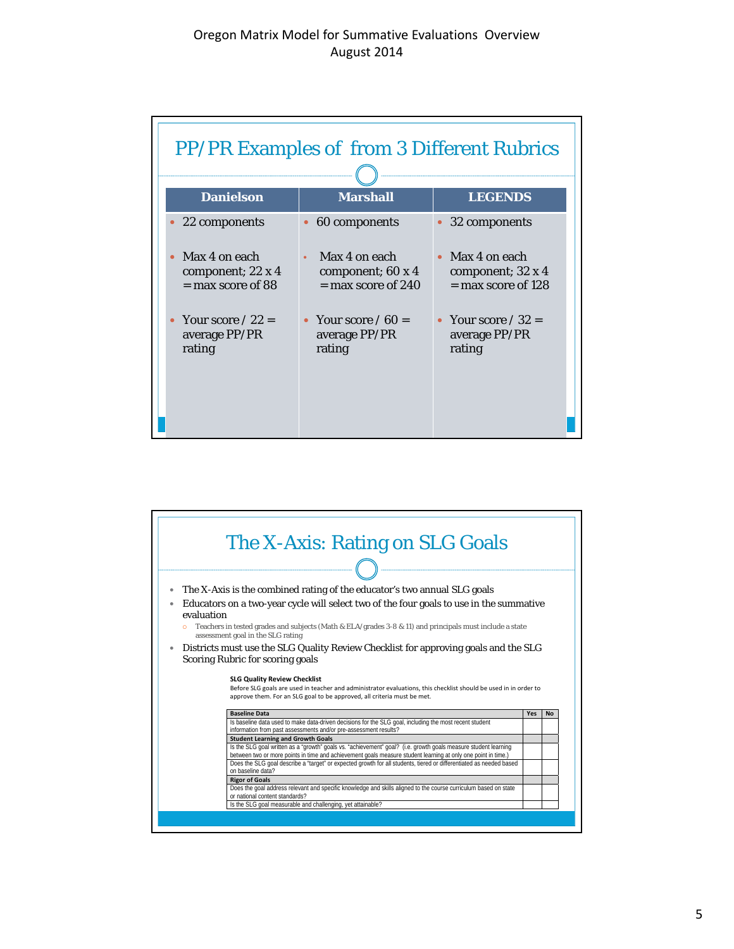| <b>PP/PR Examples of from 3 Different Rubrics</b>           |                                                            |                                                              |  |  |
|-------------------------------------------------------------|------------------------------------------------------------|--------------------------------------------------------------|--|--|
| <b>Danielson</b>                                            | <b>Marshall</b>                                            | <b>LEGENDS</b>                                               |  |  |
| • 22 components                                             | 60 components                                              | • 32 components                                              |  |  |
| • Max 4 on each<br>component; 22 x 4<br>$=$ max score of 88 | Max 4 on each<br>component; 60 x 4<br>$=$ max score of 240 | • Max 4 on each<br>component; 32 x 4<br>$=$ max score of 128 |  |  |
| • Your score $/22 =$<br>average PP/PR<br>rating             | • Your score $/ 60 =$<br>average PP/PR<br>rating           | • Your score $/32 =$<br>average PP/PR<br>rating              |  |  |
|                                                             |                                                            |                                                              |  |  |

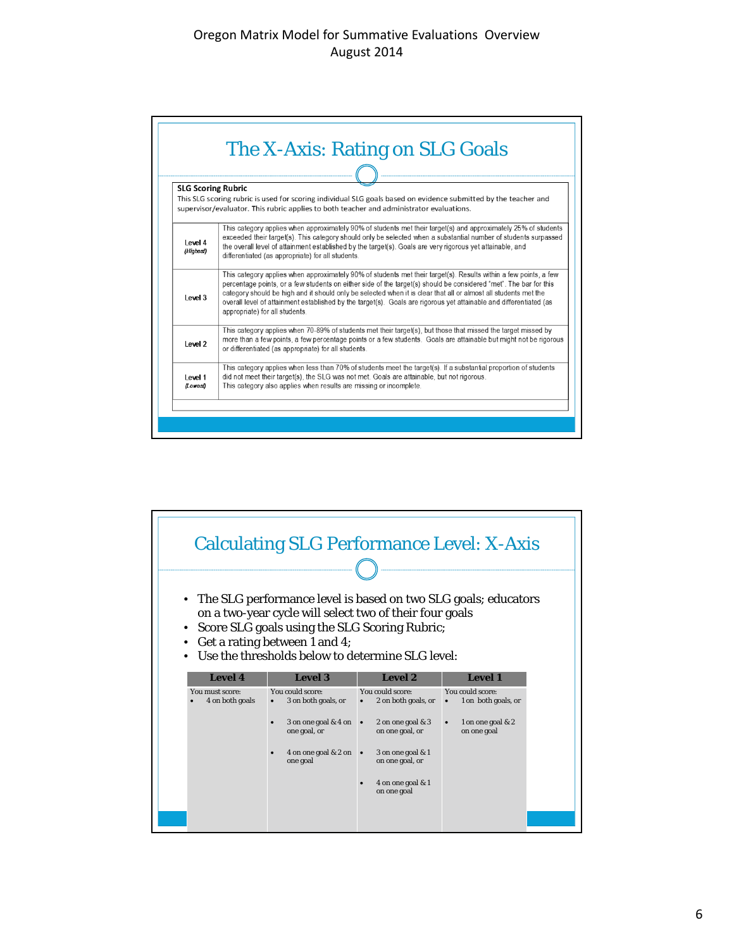#### Oregon Matrix Model for Summative Evaluations Overview August 2014

| <b>SLG Scoring Rubric</b> | This SLG scoring rubric is used for scoring individual SLG goals based on evidence submitted by the teacher and<br>supervisor/evaluator. This rubric applies to both teacher and administrator evaluations.                                                                                                                                                                                                                                                                                                      |
|---------------------------|------------------------------------------------------------------------------------------------------------------------------------------------------------------------------------------------------------------------------------------------------------------------------------------------------------------------------------------------------------------------------------------------------------------------------------------------------------------------------------------------------------------|
|                           |                                                                                                                                                                                                                                                                                                                                                                                                                                                                                                                  |
| Level 4<br>(Highest)      | This category applies when approximately 90% of students met their target(s) and approximately 25% of students<br>exceeded their target(s). This category should only be selected when a substantial number of students surpassed<br>the overall level of attainment established by the target(s). Goals are very rigorous yet attainable, and<br>differentiated (as appropriate) for all students.                                                                                                              |
| Level 3                   | This category applies when approximately 90% of students met their target(s). Results within a few points, a few<br>percentage points, or a few students on either side of the target(s) should be considered "met". The bar for this<br>category should be high and it should only be selected when it is clear that all or almost all students met the<br>overall level of attainment established by the target(s). Goals are rigorous yet attainable and differentiated (as<br>appropriate) for all students. |
| level 2                   | This category applies when 70-89% of students met their target(s), but those that missed the target missed by<br>more than a few points, a few percentage points or a few students. Goals are attainable but might not be rigorous<br>or differentiated (as appropriate) for all students.                                                                                                                                                                                                                       |
| Level 1<br>(Lowest)       | This category applies when less than 70% of students meet the target(s). If a substantial proportion of students<br>did not meet their target(s), the SLG was not met. Goals are attainable, but not rigorous.<br>This category also applies when results are missing or incomplete.                                                                                                                                                                                                                             |

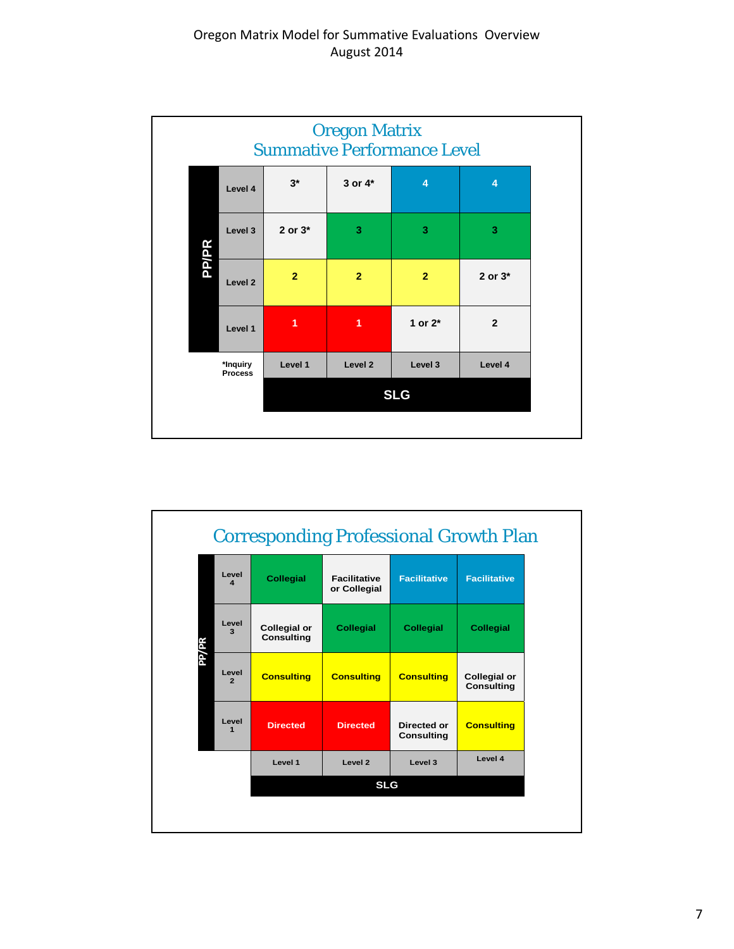

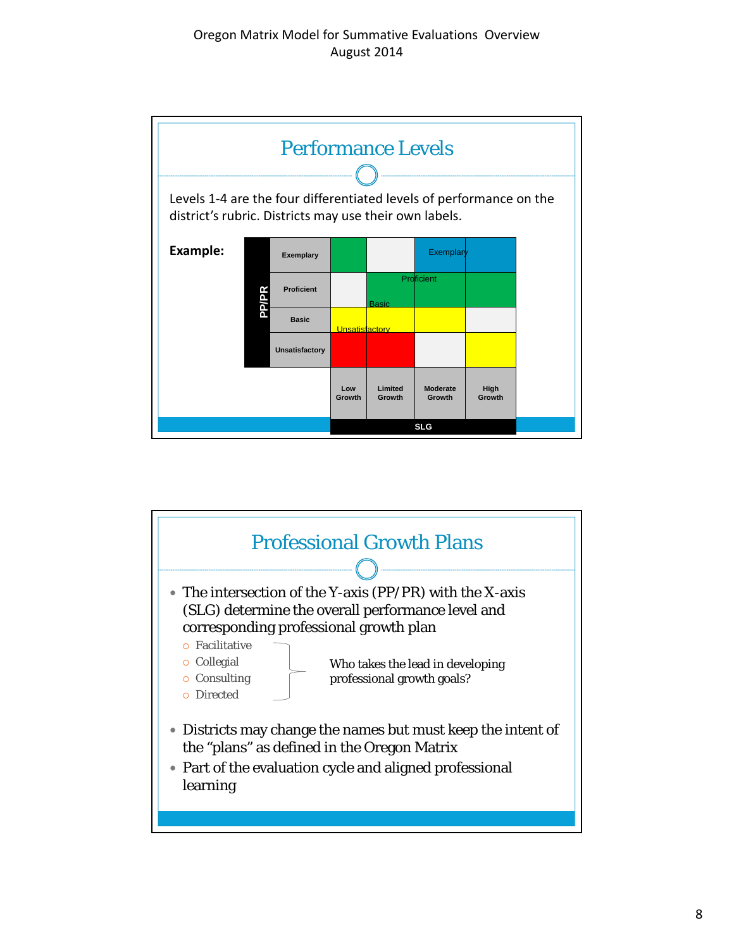

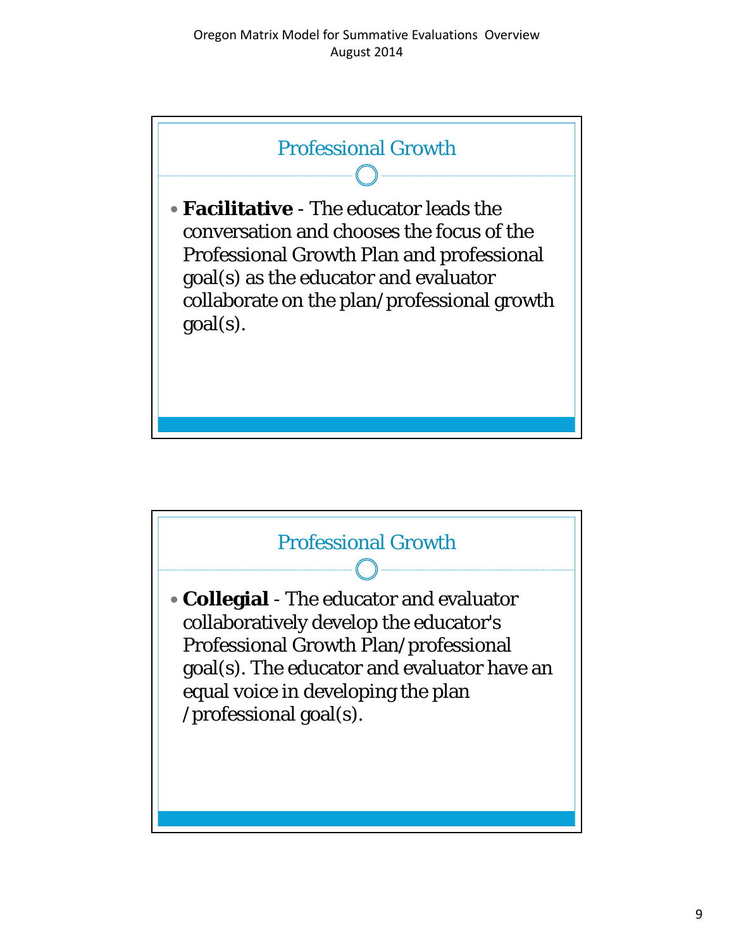![](_page_12_Figure_1.jpeg)

![](_page_12_Figure_2.jpeg)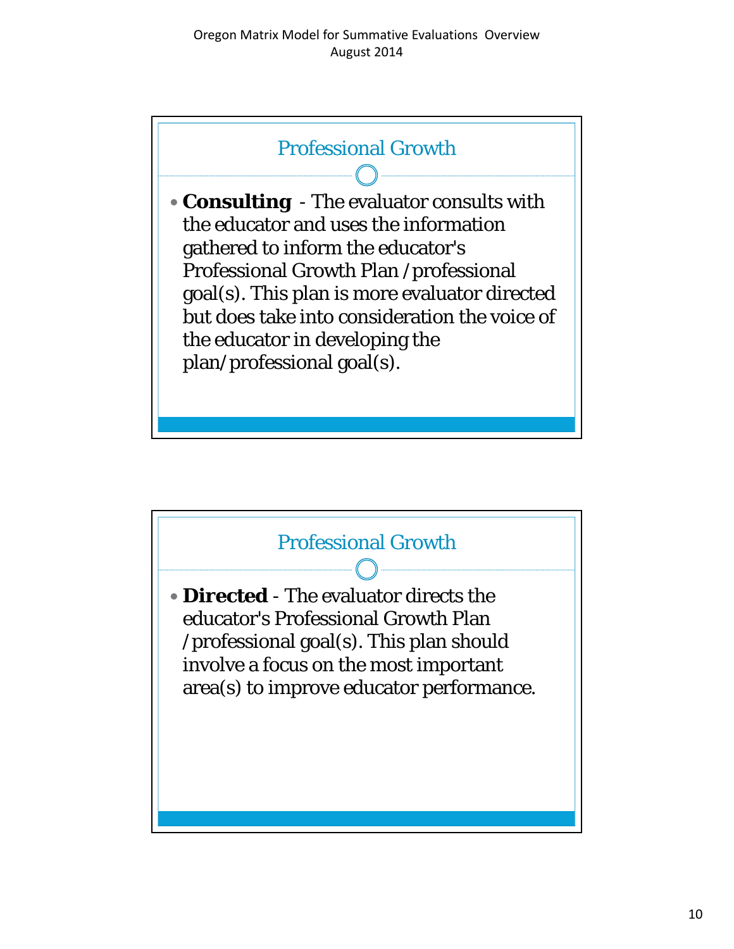![](_page_13_Figure_1.jpeg)

![](_page_13_Figure_2.jpeg)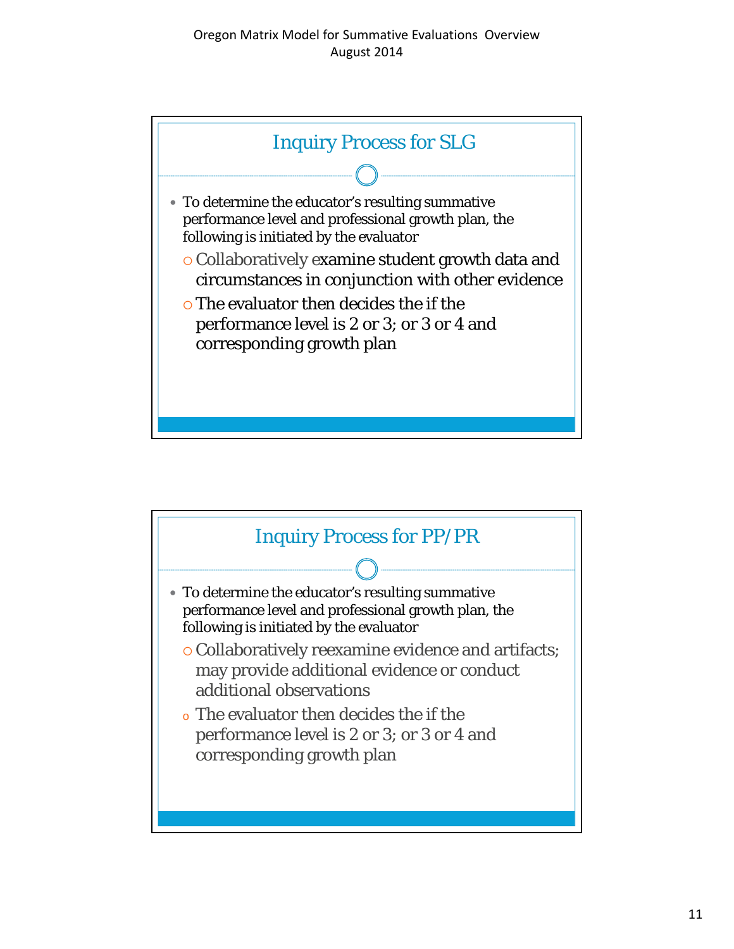![](_page_14_Figure_1.jpeg)

![](_page_14_Figure_2.jpeg)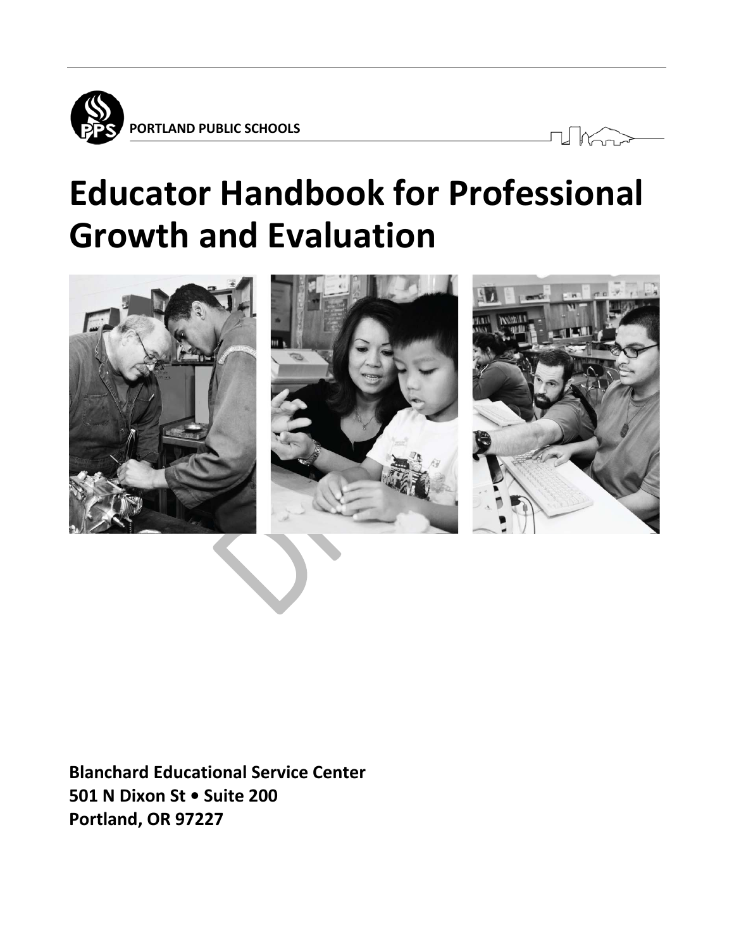![](_page_15_Picture_0.jpeg)

## **Educator Handbook for Professional Growth and Evaluation**

 $K_{\Omega}$ 

![](_page_15_Picture_2.jpeg)

**Blanchard Educational Service Center 501 N Dixon St • Suite 200 Portland, OR 97227**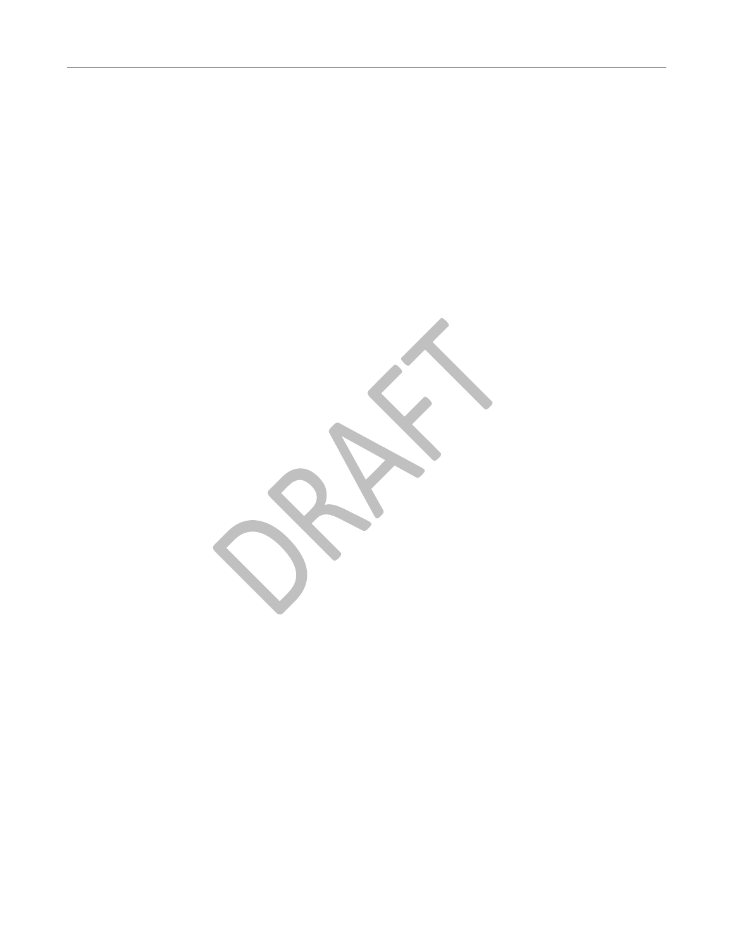![](_page_16_Picture_0.jpeg)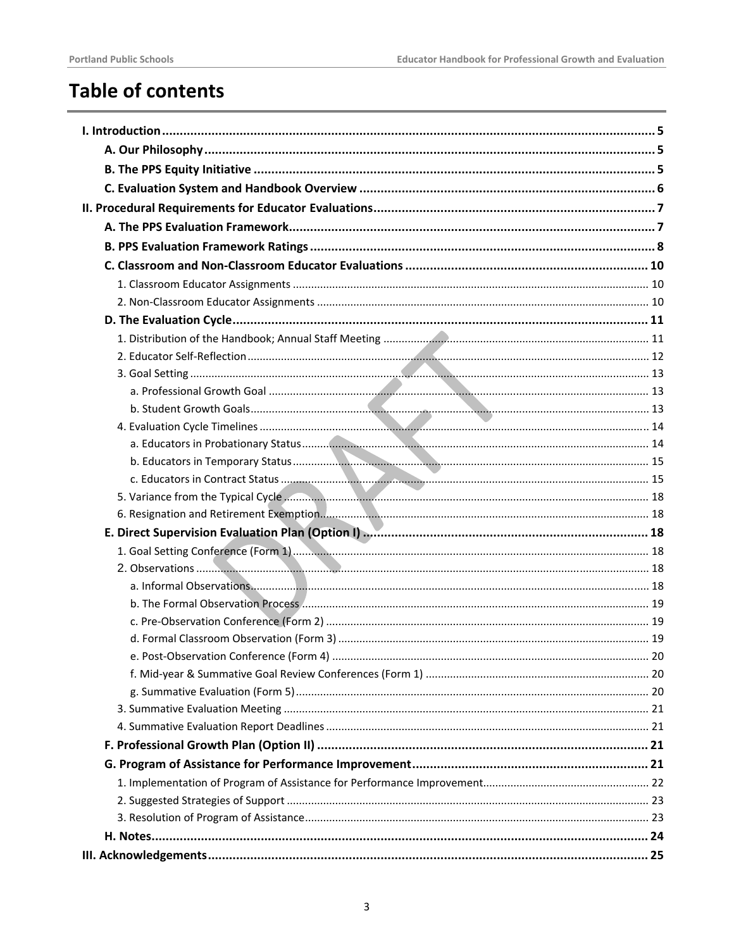## **Table of contents**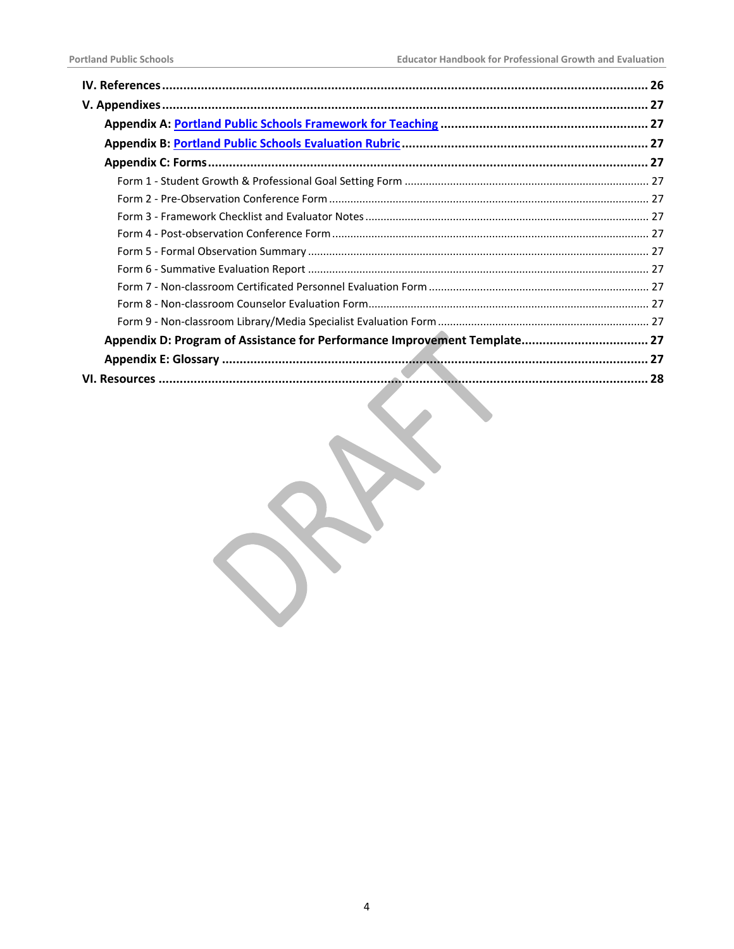| Appendix D: Program of Assistance for Performance Improvement Template 27 |  |
|---------------------------------------------------------------------------|--|
|                                                                           |  |
|                                                                           |  |
|                                                                           |  |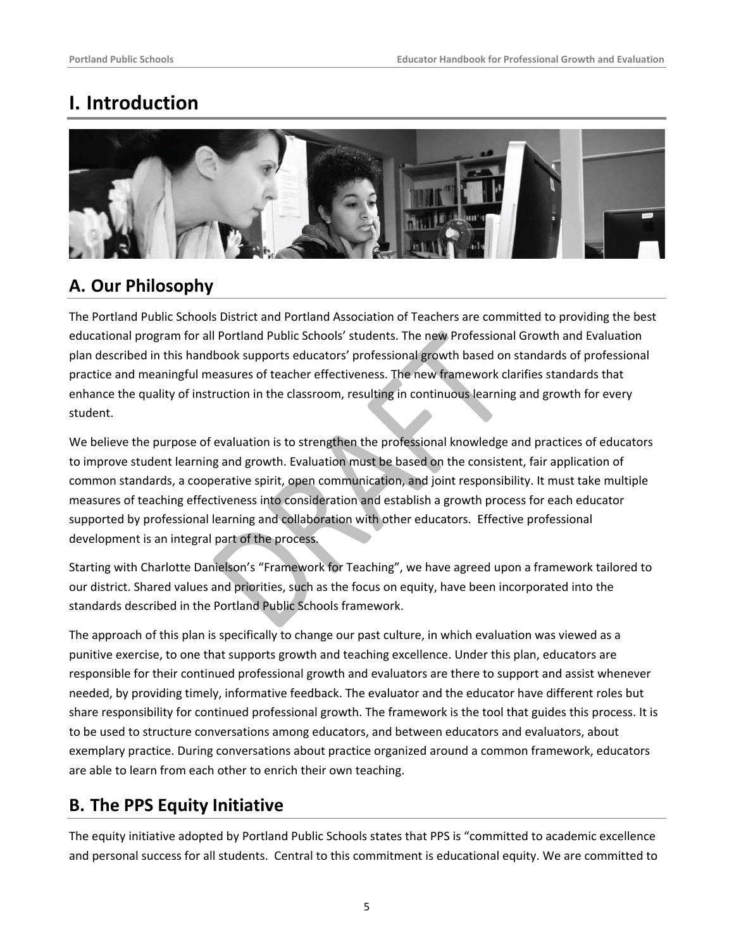## **I. Introduction**

![](_page_19_Picture_3.jpeg)

## **A. Our Philosophy**

The Portland Public Schools District and Portland Association of Teachers are committed to providing the best educational program for all Portland Public Schools' students. The new Professional Growth and Evaluation plan described in this handbook supports educators' professional growth based on standards of professional practice and meaningful measures of teacher effectiveness. The new framework clarifies standards that enhance the quality of instruction in the classroom, resulting in continuous learning and growth for every student.

We believe the purpose of evaluation is to strengthen the professional knowledge and practices of educators to improve student learning and growth. Evaluation must be based on the consistent, fair application of common standards, a cooperative spirit, open communication, and joint responsibility. It must take multiple measures of teaching effectiveness into consideration and establish a growth process for each educator supported by professional learning and collaboration with other educators. Effective professional development is an integral part of the process.

Starting with Charlotte Danielson's "Framework for Teaching", we have agreed upon a framework tailored to our district. Shared values and priorities, such as the focus on equity, have been incorporated into the standards described in the Portland Public Schools framework.

The approach of this plan is specifically to change our past culture, in which evaluation was viewed as a punitive exercise, to one that supports growth and teaching excellence. Under this plan, educators are responsible for their continued professional growth and evaluators are there to support and assist whenever needed, by providing timely, informative feedback. The evaluator and the educator have different roles but share responsibility for continued professional growth. The framework is the tool that guides this process. It is to be used to structure conversations among educators, and between educators and evaluators, about exemplary practice. During conversations about practice organized around a common framework, educators are able to learn from each other to enrich their own teaching.

## **B. The PPS Equity Initiative**

The equity initiative adopted by Portland Public Schools states that PPS is "committed to academic excellence and personal success for all students. Central to this commitment is educational equity. We are committed to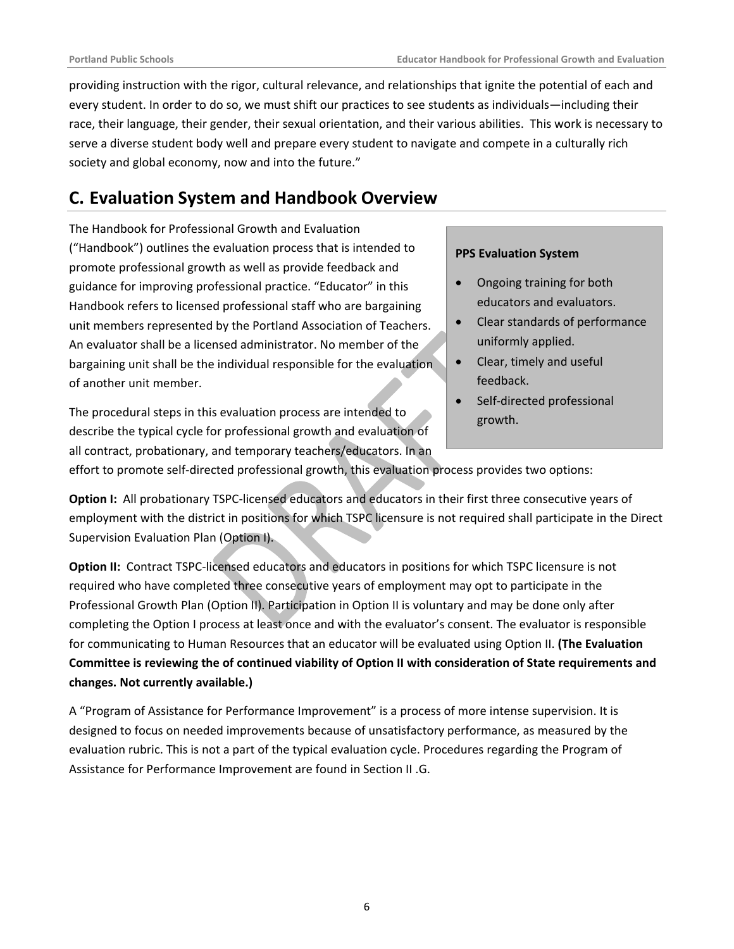providing instruction with the rigor, cultural relevance, and relationships that ignite the potential of each and every student. In order to do so, we must shift our practices to see students as individuals—including their race, their language, their gender, their sexual orientation, and their various abilities. This work is necessary to serve a diverse student body well and prepare every student to navigate and compete in a culturally rich society and global economy, now and into the future."

## **C. Evaluation System and Handbook Overview**

The Handbook for Professional Growth and Evaluation ("Handbook") outlines the evaluation process that is intended to promote professional growth as well as provide feedback and guidance for improving professional practice. "Educator" in this Handbook refers to licensed professional staff who are bargaining unit members represented by the Portland Association of Teachers. An evaluator shall be a licensed administrator. No member of the bargaining unit shall be the individual responsible for the evaluation of another unit member.

The procedural steps in this evaluation process are intended to describe the typical cycle for professional growth and evaluation of all contract, probationary, and temporary teachers/educators. In an

#### **PPS Evaluation System**

- Ongoing training for both educators and evaluators.
- Clear standards of performance uniformly applied.
- Clear, timely and useful feedback.
- Self-directed professional growth.

effort to promote self‐directed professional growth, this evaluation process provides two options:

**Option I:** All probationary TSPC‐licensed educators and educators in their first three consecutive years of employment with the district in positions for which TSPC licensure is not required shall participate in the Direct Supervision Evaluation Plan (Option I).

**Option II:** Contract TSPC‐licensed educators and educators in positions for which TSPC licensure is not required who have completed three consecutive years of employment may opt to participate in the Professional Growth Plan (Option II). Participation in Option II is voluntary and may be done only after completing the Option I process at least once and with the evaluator's consent. The evaluator is responsible for communicating to Human Resources that an educator will be evaluated using Option II. **(The Evaluation Committee is reviewing the of continued viability of Option II with consideration of State requirements and changes. Not currently available.)**

A "Program of Assistance for Performance Improvement" is a process of more intense supervision. It is designed to focus on needed improvements because of unsatisfactory performance, as measured by the evaluation rubric. This is not a part of the typical evaluation cycle. Procedures regarding the Program of Assistance for Performance Improvement are found in Section II .G.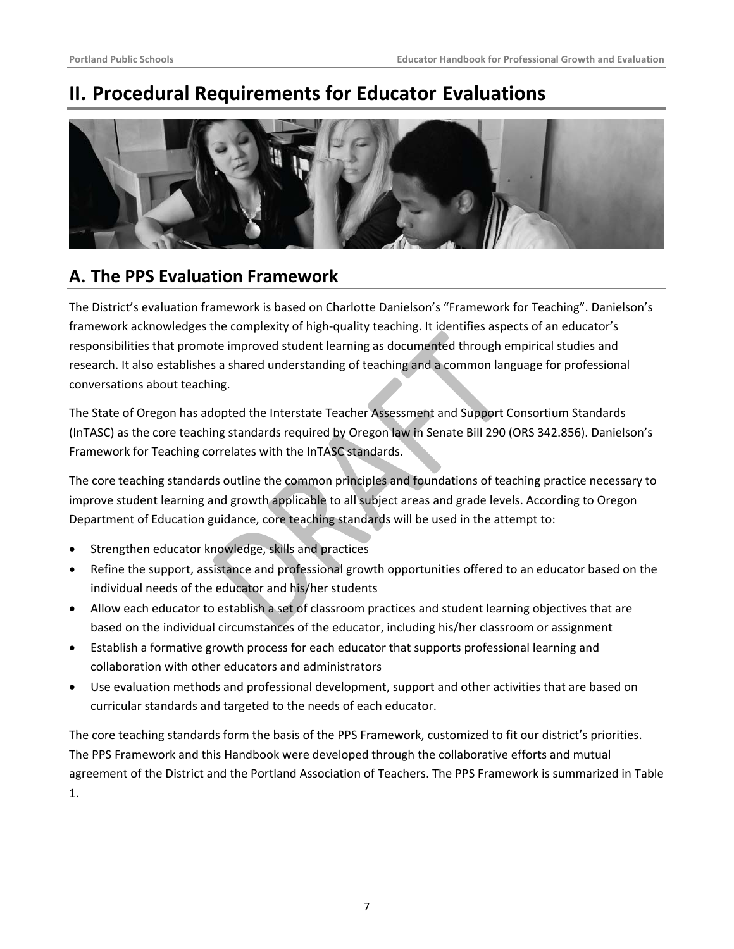## **II. Procedural Requirements for Educator Evaluations**

![](_page_21_Picture_3.jpeg)

## **A. The PPS Evaluation Framework**

The District's evaluation framework is based on Charlotte Danielson's "Framework for Teaching". Danielson's framework acknowledges the complexity of high‐quality teaching. It identifies aspects of an educator's responsibilities that promote improved student learning as documented through empirical studies and research. It also establishes a shared understanding of teaching and a common language for professional conversations about teaching.

The State of Oregon has adopted the Interstate Teacher Assessment and Support Consortium Standards (InTASC) as the core teaching standards required by Oregon law in Senate Bill 290 (ORS 342.856). Danielson's Framework for Teaching correlates with the InTASC standards.

The core teaching standards outline the common principles and foundations of teaching practice necessary to improve student learning and growth applicable to all subject areas and grade levels. According to Oregon Department of Education guidance, core teaching standards will be used in the attempt to:

- Strengthen educator knowledge, skills and practices
- Refine the support, assistance and professional growth opportunities offered to an educator based on the individual needs of the educator and his/her students
- Allow each educator to establish a set of classroom practices and student learning objectives that are based on the individual circumstances of the educator, including his/her classroom or assignment
- Establish a formative growth process for each educator that supports professional learning and collaboration with other educators and administrators
- Use evaluation methods and professional development, support and other activities that are based on curricular standards and targeted to the needs of each educator.

The core teaching standards form the basis of the PPS Framework, customized to fit our district's priorities. The PPS Framework and this Handbook were developed through the collaborative efforts and mutual agreement of the District and the Portland Association of Teachers. The PPS Framework is summarized in Table 1.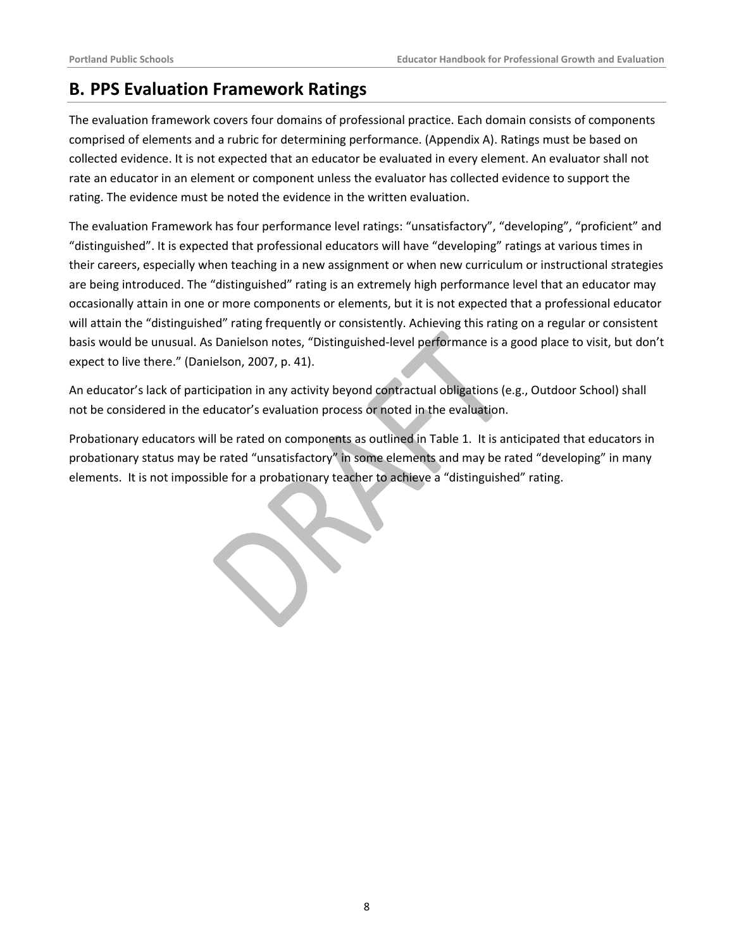## **B. PPS Evaluation Framework Ratings**

The evaluation framework covers four domains of professional practice. Each domain consists of components comprised of elements and a rubric for determining performance. (Appendix A). Ratings must be based on collected evidence. It is not expected that an educator be evaluated in every element. An evaluator shall not rate an educator in an element or component unless the evaluator has collected evidence to support the rating. The evidence must be noted the evidence in the written evaluation.

The evaluation Framework has four performance level ratings: "unsatisfactory", "developing", "proficient" and "distinguished". It is expected that professional educators will have "developing" ratings at various times in their careers, especially when teaching in a new assignment or when new curriculum or instructional strategies are being introduced. The "distinguished" rating is an extremely high performance level that an educator may occasionally attain in one or more components or elements, but it is not expected that a professional educator will attain the "distinguished" rating frequently or consistently. Achieving this rating on a regular or consistent basis would be unusual. As Danielson notes, "Distinguished-level performance is a good place to visit, but don't expect to live there." (Danielson, 2007, p. 41).

An educator's lack of participation in any activity beyond contractual obligations (e.g., Outdoor School) shall not be considered in the educator's evaluation process or noted in the evaluation.

Probationary educators will be rated on components as outlined in Table 1. It is anticipated that educators in probationary status may be rated "unsatisfactory" in some elements and may be rated "developing" in many elements. It is not impossible for a probationary teacher to achieve a "distinguished" rating.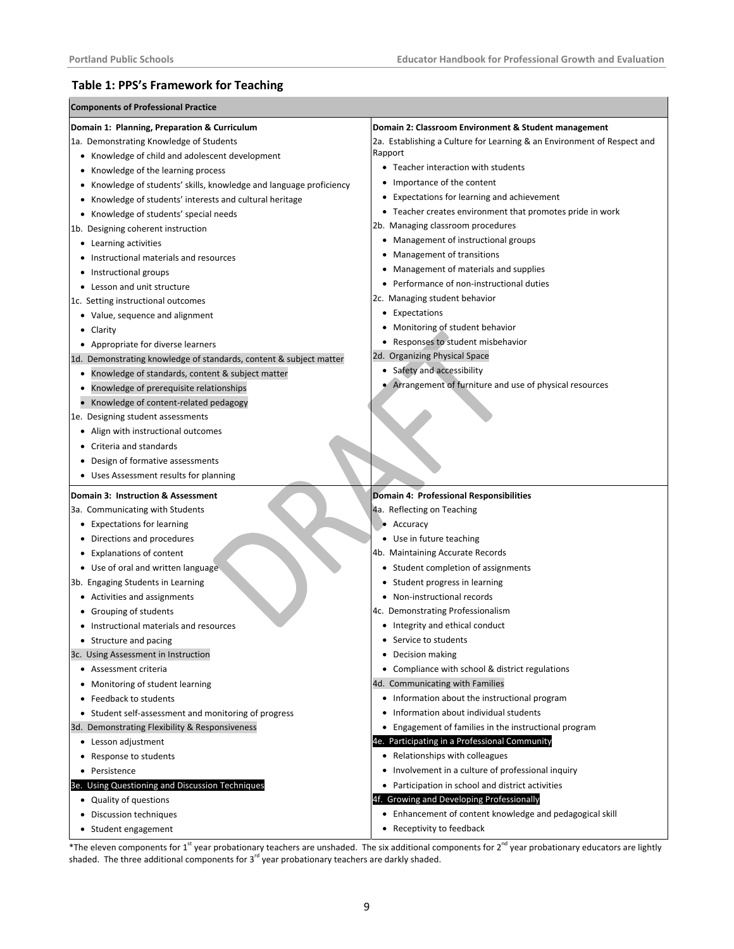#### **Table 1: PPS's Framework for Teaching**

| Domain 1: Planning, Preparation & Curriculum<br>Domain 2: Classroom Environment & Student management<br>2a. Establishing a Culture for Learning & an Environment of Respect and<br>1a. Demonstrating Knowledge of Students<br>Rapport<br>• Knowledge of child and adolescent development<br>• Teacher interaction with students<br>Knowledge of the learning process<br>Importance of the content<br>Knowledge of students' skills, knowledge and language proficiency<br>Expectations for learning and achievement<br>Knowledge of students' interests and cultural heritage<br>Teacher creates environment that promotes pride in work<br>٠<br>Knowledge of students' special needs<br>2b. Managing classroom procedures<br>1b. Designing coherent instruction<br>Management of instructional groups<br>٠<br>• Learning activities<br>Management of transitions<br>Instructional materials and resources<br>Management of materials and supplies<br>٠<br>• Instructional groups<br>Performance of non-instructional duties<br>Lesson and unit structure<br>2c. Managing student behavior<br>1c. Setting instructional outcomes<br>• Expectations<br>• Value, sequence and alignment<br>Monitoring of student behavior<br>٠<br>Clarity<br>Responses to student misbehavior<br>$\bullet$<br>Appropriate for diverse learners<br>2d. Organizing Physical Space<br>1d. Demonstrating knowledge of standards, content & subject matter<br>• Safety and accessibility<br>Knowledge of standards, content & subject matter<br>Arrangement of furniture and use of physical resources<br>Knowledge of prerequisite relationships<br>Knowledge of content-related pedagogy<br>1e. Designing student assessments<br>• Align with instructional outcomes<br>Criteria and standards<br>Design of formative assessments<br>• Uses Assessment results for planning<br>Domain 4: Professional Responsibilities<br>Domain 3: Instruction & Assessment<br>3a. Communicating with Students<br>4a. Reflecting on Teaching<br>• Expectations for learning<br>Accuracy<br>o.<br>Directions and procedures<br>• Use in future teaching<br>4b. Maintaining Accurate Records<br><b>Explanations of content</b><br>Student completion of assignments<br>• Use of oral and written language<br>٠<br>3b. Engaging Students in Learning<br>Student progress in learning<br>٠<br>• Activities and assignments<br>Non-instructional records<br>$\bullet$<br>4c. Demonstrating Professionalism<br>Grouping of students<br>• Instructional materials and resources<br>• Integrity and ethical conduct<br>• Service to students<br>• Structure and pacing<br>3c. Using Assessment in Instruction<br>Decision making<br>• Compliance with school & district regulations<br>• Assessment criteria<br>4d. Communicating with Families<br>Monitoring of student learning<br>• Information about the instructional program<br>• Feedback to students<br>Information about individual students<br>• Student self-assessment and monitoring of progress<br>$\bullet$<br>• Engagement of families in the instructional program<br>3d. Demonstrating Flexibility & Responsiveness<br>4e. Participating in a Professional Community<br>• Lesson adjustment<br>• Relationships with colleagues<br>Response to students<br>Involvement in a culture of professional inquiry<br>• Persistence<br>٠<br>3e. Using Questioning and Discussion Techniques<br>• Participation in school and district activities<br>4f. Growing and Developing Professionally<br>• Quality of questions<br>• Enhancement of content knowledge and pedagogical skill<br>Discussion techniques | <b>Components of Professional Practice</b> |                           |
|----------------------------------------------------------------------------------------------------------------------------------------------------------------------------------------------------------------------------------------------------------------------------------------------------------------------------------------------------------------------------------------------------------------------------------------------------------------------------------------------------------------------------------------------------------------------------------------------------------------------------------------------------------------------------------------------------------------------------------------------------------------------------------------------------------------------------------------------------------------------------------------------------------------------------------------------------------------------------------------------------------------------------------------------------------------------------------------------------------------------------------------------------------------------------------------------------------------------------------------------------------------------------------------------------------------------------------------------------------------------------------------------------------------------------------------------------------------------------------------------------------------------------------------------------------------------------------------------------------------------------------------------------------------------------------------------------------------------------------------------------------------------------------------------------------------------------------------------------------------------------------------------------------------------------------------------------------------------------------------------------------------------------------------------------------------------------------------------------------------------------------------------------------------------------------------------------------------------------------------------------------------------------------------------------------------------------------------------------------------------------------------------------------------------------------------------------------------------------------------------------------------------------------------------------------------------------------------------------------------------------------------------------------------------------------------------------------------------------------------------------------------------------------------------------------------------------------------------------------------------------------------------------------------------------------------------------------------------------------------------------------------------------------------------------------------------------------------------------------------------------------------------------------------------------------------------------------------------------------------------------------------------------------------------------------------------------------------------------------------------------------------------------------------------------------------------------------------------------------------------------------------------------------------------------------------------------------------------------------------------------|--------------------------------------------|---------------------------|
|                                                                                                                                                                                                                                                                                                                                                                                                                                                                                                                                                                                                                                                                                                                                                                                                                                                                                                                                                                                                                                                                                                                                                                                                                                                                                                                                                                                                                                                                                                                                                                                                                                                                                                                                                                                                                                                                                                                                                                                                                                                                                                                                                                                                                                                                                                                                                                                                                                                                                                                                                                                                                                                                                                                                                                                                                                                                                                                                                                                                                                                                                                                                                                                                                                                                                                                                                                                                                                                                                                                                                                                                                            |                                            |                           |
|                                                                                                                                                                                                                                                                                                                                                                                                                                                                                                                                                                                                                                                                                                                                                                                                                                                                                                                                                                                                                                                                                                                                                                                                                                                                                                                                                                                                                                                                                                                                                                                                                                                                                                                                                                                                                                                                                                                                                                                                                                                                                                                                                                                                                                                                                                                                                                                                                                                                                                                                                                                                                                                                                                                                                                                                                                                                                                                                                                                                                                                                                                                                                                                                                                                                                                                                                                                                                                                                                                                                                                                                                            |                                            |                           |
|                                                                                                                                                                                                                                                                                                                                                                                                                                                                                                                                                                                                                                                                                                                                                                                                                                                                                                                                                                                                                                                                                                                                                                                                                                                                                                                                                                                                                                                                                                                                                                                                                                                                                                                                                                                                                                                                                                                                                                                                                                                                                                                                                                                                                                                                                                                                                                                                                                                                                                                                                                                                                                                                                                                                                                                                                                                                                                                                                                                                                                                                                                                                                                                                                                                                                                                                                                                                                                                                                                                                                                                                                            |                                            |                           |
|                                                                                                                                                                                                                                                                                                                                                                                                                                                                                                                                                                                                                                                                                                                                                                                                                                                                                                                                                                                                                                                                                                                                                                                                                                                                                                                                                                                                                                                                                                                                                                                                                                                                                                                                                                                                                                                                                                                                                                                                                                                                                                                                                                                                                                                                                                                                                                                                                                                                                                                                                                                                                                                                                                                                                                                                                                                                                                                                                                                                                                                                                                                                                                                                                                                                                                                                                                                                                                                                                                                                                                                                                            |                                            |                           |
|                                                                                                                                                                                                                                                                                                                                                                                                                                                                                                                                                                                                                                                                                                                                                                                                                                                                                                                                                                                                                                                                                                                                                                                                                                                                                                                                                                                                                                                                                                                                                                                                                                                                                                                                                                                                                                                                                                                                                                                                                                                                                                                                                                                                                                                                                                                                                                                                                                                                                                                                                                                                                                                                                                                                                                                                                                                                                                                                                                                                                                                                                                                                                                                                                                                                                                                                                                                                                                                                                                                                                                                                                            |                                            |                           |
|                                                                                                                                                                                                                                                                                                                                                                                                                                                                                                                                                                                                                                                                                                                                                                                                                                                                                                                                                                                                                                                                                                                                                                                                                                                                                                                                                                                                                                                                                                                                                                                                                                                                                                                                                                                                                                                                                                                                                                                                                                                                                                                                                                                                                                                                                                                                                                                                                                                                                                                                                                                                                                                                                                                                                                                                                                                                                                                                                                                                                                                                                                                                                                                                                                                                                                                                                                                                                                                                                                                                                                                                                            |                                            |                           |
|                                                                                                                                                                                                                                                                                                                                                                                                                                                                                                                                                                                                                                                                                                                                                                                                                                                                                                                                                                                                                                                                                                                                                                                                                                                                                                                                                                                                                                                                                                                                                                                                                                                                                                                                                                                                                                                                                                                                                                                                                                                                                                                                                                                                                                                                                                                                                                                                                                                                                                                                                                                                                                                                                                                                                                                                                                                                                                                                                                                                                                                                                                                                                                                                                                                                                                                                                                                                                                                                                                                                                                                                                            |                                            |                           |
|                                                                                                                                                                                                                                                                                                                                                                                                                                                                                                                                                                                                                                                                                                                                                                                                                                                                                                                                                                                                                                                                                                                                                                                                                                                                                                                                                                                                                                                                                                                                                                                                                                                                                                                                                                                                                                                                                                                                                                                                                                                                                                                                                                                                                                                                                                                                                                                                                                                                                                                                                                                                                                                                                                                                                                                                                                                                                                                                                                                                                                                                                                                                                                                                                                                                                                                                                                                                                                                                                                                                                                                                                            |                                            |                           |
|                                                                                                                                                                                                                                                                                                                                                                                                                                                                                                                                                                                                                                                                                                                                                                                                                                                                                                                                                                                                                                                                                                                                                                                                                                                                                                                                                                                                                                                                                                                                                                                                                                                                                                                                                                                                                                                                                                                                                                                                                                                                                                                                                                                                                                                                                                                                                                                                                                                                                                                                                                                                                                                                                                                                                                                                                                                                                                                                                                                                                                                                                                                                                                                                                                                                                                                                                                                                                                                                                                                                                                                                                            |                                            |                           |
|                                                                                                                                                                                                                                                                                                                                                                                                                                                                                                                                                                                                                                                                                                                                                                                                                                                                                                                                                                                                                                                                                                                                                                                                                                                                                                                                                                                                                                                                                                                                                                                                                                                                                                                                                                                                                                                                                                                                                                                                                                                                                                                                                                                                                                                                                                                                                                                                                                                                                                                                                                                                                                                                                                                                                                                                                                                                                                                                                                                                                                                                                                                                                                                                                                                                                                                                                                                                                                                                                                                                                                                                                            |                                            |                           |
|                                                                                                                                                                                                                                                                                                                                                                                                                                                                                                                                                                                                                                                                                                                                                                                                                                                                                                                                                                                                                                                                                                                                                                                                                                                                                                                                                                                                                                                                                                                                                                                                                                                                                                                                                                                                                                                                                                                                                                                                                                                                                                                                                                                                                                                                                                                                                                                                                                                                                                                                                                                                                                                                                                                                                                                                                                                                                                                                                                                                                                                                                                                                                                                                                                                                                                                                                                                                                                                                                                                                                                                                                            |                                            |                           |
|                                                                                                                                                                                                                                                                                                                                                                                                                                                                                                                                                                                                                                                                                                                                                                                                                                                                                                                                                                                                                                                                                                                                                                                                                                                                                                                                                                                                                                                                                                                                                                                                                                                                                                                                                                                                                                                                                                                                                                                                                                                                                                                                                                                                                                                                                                                                                                                                                                                                                                                                                                                                                                                                                                                                                                                                                                                                                                                                                                                                                                                                                                                                                                                                                                                                                                                                                                                                                                                                                                                                                                                                                            |                                            |                           |
|                                                                                                                                                                                                                                                                                                                                                                                                                                                                                                                                                                                                                                                                                                                                                                                                                                                                                                                                                                                                                                                                                                                                                                                                                                                                                                                                                                                                                                                                                                                                                                                                                                                                                                                                                                                                                                                                                                                                                                                                                                                                                                                                                                                                                                                                                                                                                                                                                                                                                                                                                                                                                                                                                                                                                                                                                                                                                                                                                                                                                                                                                                                                                                                                                                                                                                                                                                                                                                                                                                                                                                                                                            |                                            |                           |
|                                                                                                                                                                                                                                                                                                                                                                                                                                                                                                                                                                                                                                                                                                                                                                                                                                                                                                                                                                                                                                                                                                                                                                                                                                                                                                                                                                                                                                                                                                                                                                                                                                                                                                                                                                                                                                                                                                                                                                                                                                                                                                                                                                                                                                                                                                                                                                                                                                                                                                                                                                                                                                                                                                                                                                                                                                                                                                                                                                                                                                                                                                                                                                                                                                                                                                                                                                                                                                                                                                                                                                                                                            |                                            |                           |
|                                                                                                                                                                                                                                                                                                                                                                                                                                                                                                                                                                                                                                                                                                                                                                                                                                                                                                                                                                                                                                                                                                                                                                                                                                                                                                                                                                                                                                                                                                                                                                                                                                                                                                                                                                                                                                                                                                                                                                                                                                                                                                                                                                                                                                                                                                                                                                                                                                                                                                                                                                                                                                                                                                                                                                                                                                                                                                                                                                                                                                                                                                                                                                                                                                                                                                                                                                                                                                                                                                                                                                                                                            |                                            |                           |
|                                                                                                                                                                                                                                                                                                                                                                                                                                                                                                                                                                                                                                                                                                                                                                                                                                                                                                                                                                                                                                                                                                                                                                                                                                                                                                                                                                                                                                                                                                                                                                                                                                                                                                                                                                                                                                                                                                                                                                                                                                                                                                                                                                                                                                                                                                                                                                                                                                                                                                                                                                                                                                                                                                                                                                                                                                                                                                                                                                                                                                                                                                                                                                                                                                                                                                                                                                                                                                                                                                                                                                                                                            |                                            |                           |
|                                                                                                                                                                                                                                                                                                                                                                                                                                                                                                                                                                                                                                                                                                                                                                                                                                                                                                                                                                                                                                                                                                                                                                                                                                                                                                                                                                                                                                                                                                                                                                                                                                                                                                                                                                                                                                                                                                                                                                                                                                                                                                                                                                                                                                                                                                                                                                                                                                                                                                                                                                                                                                                                                                                                                                                                                                                                                                                                                                                                                                                                                                                                                                                                                                                                                                                                                                                                                                                                                                                                                                                                                            |                                            |                           |
|                                                                                                                                                                                                                                                                                                                                                                                                                                                                                                                                                                                                                                                                                                                                                                                                                                                                                                                                                                                                                                                                                                                                                                                                                                                                                                                                                                                                                                                                                                                                                                                                                                                                                                                                                                                                                                                                                                                                                                                                                                                                                                                                                                                                                                                                                                                                                                                                                                                                                                                                                                                                                                                                                                                                                                                                                                                                                                                                                                                                                                                                                                                                                                                                                                                                                                                                                                                                                                                                                                                                                                                                                            |                                            |                           |
|                                                                                                                                                                                                                                                                                                                                                                                                                                                                                                                                                                                                                                                                                                                                                                                                                                                                                                                                                                                                                                                                                                                                                                                                                                                                                                                                                                                                                                                                                                                                                                                                                                                                                                                                                                                                                                                                                                                                                                                                                                                                                                                                                                                                                                                                                                                                                                                                                                                                                                                                                                                                                                                                                                                                                                                                                                                                                                                                                                                                                                                                                                                                                                                                                                                                                                                                                                                                                                                                                                                                                                                                                            |                                            |                           |
|                                                                                                                                                                                                                                                                                                                                                                                                                                                                                                                                                                                                                                                                                                                                                                                                                                                                                                                                                                                                                                                                                                                                                                                                                                                                                                                                                                                                                                                                                                                                                                                                                                                                                                                                                                                                                                                                                                                                                                                                                                                                                                                                                                                                                                                                                                                                                                                                                                                                                                                                                                                                                                                                                                                                                                                                                                                                                                                                                                                                                                                                                                                                                                                                                                                                                                                                                                                                                                                                                                                                                                                                                            |                                            |                           |
|                                                                                                                                                                                                                                                                                                                                                                                                                                                                                                                                                                                                                                                                                                                                                                                                                                                                                                                                                                                                                                                                                                                                                                                                                                                                                                                                                                                                                                                                                                                                                                                                                                                                                                                                                                                                                                                                                                                                                                                                                                                                                                                                                                                                                                                                                                                                                                                                                                                                                                                                                                                                                                                                                                                                                                                                                                                                                                                                                                                                                                                                                                                                                                                                                                                                                                                                                                                                                                                                                                                                                                                                                            |                                            |                           |
|                                                                                                                                                                                                                                                                                                                                                                                                                                                                                                                                                                                                                                                                                                                                                                                                                                                                                                                                                                                                                                                                                                                                                                                                                                                                                                                                                                                                                                                                                                                                                                                                                                                                                                                                                                                                                                                                                                                                                                                                                                                                                                                                                                                                                                                                                                                                                                                                                                                                                                                                                                                                                                                                                                                                                                                                                                                                                                                                                                                                                                                                                                                                                                                                                                                                                                                                                                                                                                                                                                                                                                                                                            |                                            |                           |
|                                                                                                                                                                                                                                                                                                                                                                                                                                                                                                                                                                                                                                                                                                                                                                                                                                                                                                                                                                                                                                                                                                                                                                                                                                                                                                                                                                                                                                                                                                                                                                                                                                                                                                                                                                                                                                                                                                                                                                                                                                                                                                                                                                                                                                                                                                                                                                                                                                                                                                                                                                                                                                                                                                                                                                                                                                                                                                                                                                                                                                                                                                                                                                                                                                                                                                                                                                                                                                                                                                                                                                                                                            |                                            |                           |
|                                                                                                                                                                                                                                                                                                                                                                                                                                                                                                                                                                                                                                                                                                                                                                                                                                                                                                                                                                                                                                                                                                                                                                                                                                                                                                                                                                                                                                                                                                                                                                                                                                                                                                                                                                                                                                                                                                                                                                                                                                                                                                                                                                                                                                                                                                                                                                                                                                                                                                                                                                                                                                                                                                                                                                                                                                                                                                                                                                                                                                                                                                                                                                                                                                                                                                                                                                                                                                                                                                                                                                                                                            |                                            |                           |
|                                                                                                                                                                                                                                                                                                                                                                                                                                                                                                                                                                                                                                                                                                                                                                                                                                                                                                                                                                                                                                                                                                                                                                                                                                                                                                                                                                                                                                                                                                                                                                                                                                                                                                                                                                                                                                                                                                                                                                                                                                                                                                                                                                                                                                                                                                                                                                                                                                                                                                                                                                                                                                                                                                                                                                                                                                                                                                                                                                                                                                                                                                                                                                                                                                                                                                                                                                                                                                                                                                                                                                                                                            |                                            |                           |
|                                                                                                                                                                                                                                                                                                                                                                                                                                                                                                                                                                                                                                                                                                                                                                                                                                                                                                                                                                                                                                                                                                                                                                                                                                                                                                                                                                                                                                                                                                                                                                                                                                                                                                                                                                                                                                                                                                                                                                                                                                                                                                                                                                                                                                                                                                                                                                                                                                                                                                                                                                                                                                                                                                                                                                                                                                                                                                                                                                                                                                                                                                                                                                                                                                                                                                                                                                                                                                                                                                                                                                                                                            |                                            |                           |
|                                                                                                                                                                                                                                                                                                                                                                                                                                                                                                                                                                                                                                                                                                                                                                                                                                                                                                                                                                                                                                                                                                                                                                                                                                                                                                                                                                                                                                                                                                                                                                                                                                                                                                                                                                                                                                                                                                                                                                                                                                                                                                                                                                                                                                                                                                                                                                                                                                                                                                                                                                                                                                                                                                                                                                                                                                                                                                                                                                                                                                                                                                                                                                                                                                                                                                                                                                                                                                                                                                                                                                                                                            |                                            |                           |
|                                                                                                                                                                                                                                                                                                                                                                                                                                                                                                                                                                                                                                                                                                                                                                                                                                                                                                                                                                                                                                                                                                                                                                                                                                                                                                                                                                                                                                                                                                                                                                                                                                                                                                                                                                                                                                                                                                                                                                                                                                                                                                                                                                                                                                                                                                                                                                                                                                                                                                                                                                                                                                                                                                                                                                                                                                                                                                                                                                                                                                                                                                                                                                                                                                                                                                                                                                                                                                                                                                                                                                                                                            |                                            |                           |
|                                                                                                                                                                                                                                                                                                                                                                                                                                                                                                                                                                                                                                                                                                                                                                                                                                                                                                                                                                                                                                                                                                                                                                                                                                                                                                                                                                                                                                                                                                                                                                                                                                                                                                                                                                                                                                                                                                                                                                                                                                                                                                                                                                                                                                                                                                                                                                                                                                                                                                                                                                                                                                                                                                                                                                                                                                                                                                                                                                                                                                                                                                                                                                                                                                                                                                                                                                                                                                                                                                                                                                                                                            |                                            |                           |
|                                                                                                                                                                                                                                                                                                                                                                                                                                                                                                                                                                                                                                                                                                                                                                                                                                                                                                                                                                                                                                                                                                                                                                                                                                                                                                                                                                                                                                                                                                                                                                                                                                                                                                                                                                                                                                                                                                                                                                                                                                                                                                                                                                                                                                                                                                                                                                                                                                                                                                                                                                                                                                                                                                                                                                                                                                                                                                                                                                                                                                                                                                                                                                                                                                                                                                                                                                                                                                                                                                                                                                                                                            |                                            |                           |
|                                                                                                                                                                                                                                                                                                                                                                                                                                                                                                                                                                                                                                                                                                                                                                                                                                                                                                                                                                                                                                                                                                                                                                                                                                                                                                                                                                                                                                                                                                                                                                                                                                                                                                                                                                                                                                                                                                                                                                                                                                                                                                                                                                                                                                                                                                                                                                                                                                                                                                                                                                                                                                                                                                                                                                                                                                                                                                                                                                                                                                                                                                                                                                                                                                                                                                                                                                                                                                                                                                                                                                                                                            |                                            |                           |
|                                                                                                                                                                                                                                                                                                                                                                                                                                                                                                                                                                                                                                                                                                                                                                                                                                                                                                                                                                                                                                                                                                                                                                                                                                                                                                                                                                                                                                                                                                                                                                                                                                                                                                                                                                                                                                                                                                                                                                                                                                                                                                                                                                                                                                                                                                                                                                                                                                                                                                                                                                                                                                                                                                                                                                                                                                                                                                                                                                                                                                                                                                                                                                                                                                                                                                                                                                                                                                                                                                                                                                                                                            |                                            |                           |
|                                                                                                                                                                                                                                                                                                                                                                                                                                                                                                                                                                                                                                                                                                                                                                                                                                                                                                                                                                                                                                                                                                                                                                                                                                                                                                                                                                                                                                                                                                                                                                                                                                                                                                                                                                                                                                                                                                                                                                                                                                                                                                                                                                                                                                                                                                                                                                                                                                                                                                                                                                                                                                                                                                                                                                                                                                                                                                                                                                                                                                                                                                                                                                                                                                                                                                                                                                                                                                                                                                                                                                                                                            |                                            |                           |
|                                                                                                                                                                                                                                                                                                                                                                                                                                                                                                                                                                                                                                                                                                                                                                                                                                                                                                                                                                                                                                                                                                                                                                                                                                                                                                                                                                                                                                                                                                                                                                                                                                                                                                                                                                                                                                                                                                                                                                                                                                                                                                                                                                                                                                                                                                                                                                                                                                                                                                                                                                                                                                                                                                                                                                                                                                                                                                                                                                                                                                                                                                                                                                                                                                                                                                                                                                                                                                                                                                                                                                                                                            |                                            |                           |
|                                                                                                                                                                                                                                                                                                                                                                                                                                                                                                                                                                                                                                                                                                                                                                                                                                                                                                                                                                                                                                                                                                                                                                                                                                                                                                                                                                                                                                                                                                                                                                                                                                                                                                                                                                                                                                                                                                                                                                                                                                                                                                                                                                                                                                                                                                                                                                                                                                                                                                                                                                                                                                                                                                                                                                                                                                                                                                                                                                                                                                                                                                                                                                                                                                                                                                                                                                                                                                                                                                                                                                                                                            |                                            |                           |
|                                                                                                                                                                                                                                                                                                                                                                                                                                                                                                                                                                                                                                                                                                                                                                                                                                                                                                                                                                                                                                                                                                                                                                                                                                                                                                                                                                                                                                                                                                                                                                                                                                                                                                                                                                                                                                                                                                                                                                                                                                                                                                                                                                                                                                                                                                                                                                                                                                                                                                                                                                                                                                                                                                                                                                                                                                                                                                                                                                                                                                                                                                                                                                                                                                                                                                                                                                                                                                                                                                                                                                                                                            |                                            |                           |
|                                                                                                                                                                                                                                                                                                                                                                                                                                                                                                                                                                                                                                                                                                                                                                                                                                                                                                                                                                                                                                                                                                                                                                                                                                                                                                                                                                                                                                                                                                                                                                                                                                                                                                                                                                                                                                                                                                                                                                                                                                                                                                                                                                                                                                                                                                                                                                                                                                                                                                                                                                                                                                                                                                                                                                                                                                                                                                                                                                                                                                                                                                                                                                                                                                                                                                                                                                                                                                                                                                                                                                                                                            |                                            |                           |
|                                                                                                                                                                                                                                                                                                                                                                                                                                                                                                                                                                                                                                                                                                                                                                                                                                                                                                                                                                                                                                                                                                                                                                                                                                                                                                                                                                                                                                                                                                                                                                                                                                                                                                                                                                                                                                                                                                                                                                                                                                                                                                                                                                                                                                                                                                                                                                                                                                                                                                                                                                                                                                                                                                                                                                                                                                                                                                                                                                                                                                                                                                                                                                                                                                                                                                                                                                                                                                                                                                                                                                                                                            |                                            |                           |
|                                                                                                                                                                                                                                                                                                                                                                                                                                                                                                                                                                                                                                                                                                                                                                                                                                                                                                                                                                                                                                                                                                                                                                                                                                                                                                                                                                                                                                                                                                                                                                                                                                                                                                                                                                                                                                                                                                                                                                                                                                                                                                                                                                                                                                                                                                                                                                                                                                                                                                                                                                                                                                                                                                                                                                                                                                                                                                                                                                                                                                                                                                                                                                                                                                                                                                                                                                                                                                                                                                                                                                                                                            |                                            |                           |
|                                                                                                                                                                                                                                                                                                                                                                                                                                                                                                                                                                                                                                                                                                                                                                                                                                                                                                                                                                                                                                                                                                                                                                                                                                                                                                                                                                                                                                                                                                                                                                                                                                                                                                                                                                                                                                                                                                                                                                                                                                                                                                                                                                                                                                                                                                                                                                                                                                                                                                                                                                                                                                                                                                                                                                                                                                                                                                                                                                                                                                                                                                                                                                                                                                                                                                                                                                                                                                                                                                                                                                                                                            |                                            |                           |
|                                                                                                                                                                                                                                                                                                                                                                                                                                                                                                                                                                                                                                                                                                                                                                                                                                                                                                                                                                                                                                                                                                                                                                                                                                                                                                                                                                                                                                                                                                                                                                                                                                                                                                                                                                                                                                                                                                                                                                                                                                                                                                                                                                                                                                                                                                                                                                                                                                                                                                                                                                                                                                                                                                                                                                                                                                                                                                                                                                                                                                                                                                                                                                                                                                                                                                                                                                                                                                                                                                                                                                                                                            |                                            |                           |
|                                                                                                                                                                                                                                                                                                                                                                                                                                                                                                                                                                                                                                                                                                                                                                                                                                                                                                                                                                                                                                                                                                                                                                                                                                                                                                                                                                                                                                                                                                                                                                                                                                                                                                                                                                                                                                                                                                                                                                                                                                                                                                                                                                                                                                                                                                                                                                                                                                                                                                                                                                                                                                                                                                                                                                                                                                                                                                                                                                                                                                                                                                                                                                                                                                                                                                                                                                                                                                                                                                                                                                                                                            |                                            |                           |
|                                                                                                                                                                                                                                                                                                                                                                                                                                                                                                                                                                                                                                                                                                                                                                                                                                                                                                                                                                                                                                                                                                                                                                                                                                                                                                                                                                                                                                                                                                                                                                                                                                                                                                                                                                                                                                                                                                                                                                                                                                                                                                                                                                                                                                                                                                                                                                                                                                                                                                                                                                                                                                                                                                                                                                                                                                                                                                                                                                                                                                                                                                                                                                                                                                                                                                                                                                                                                                                                                                                                                                                                                            |                                            |                           |
|                                                                                                                                                                                                                                                                                                                                                                                                                                                                                                                                                                                                                                                                                                                                                                                                                                                                                                                                                                                                                                                                                                                                                                                                                                                                                                                                                                                                                                                                                                                                                                                                                                                                                                                                                                                                                                                                                                                                                                                                                                                                                                                                                                                                                                                                                                                                                                                                                                                                                                                                                                                                                                                                                                                                                                                                                                                                                                                                                                                                                                                                                                                                                                                                                                                                                                                                                                                                                                                                                                                                                                                                                            |                                            |                           |
|                                                                                                                                                                                                                                                                                                                                                                                                                                                                                                                                                                                                                                                                                                                                                                                                                                                                                                                                                                                                                                                                                                                                                                                                                                                                                                                                                                                                                                                                                                                                                                                                                                                                                                                                                                                                                                                                                                                                                                                                                                                                                                                                                                                                                                                                                                                                                                                                                                                                                                                                                                                                                                                                                                                                                                                                                                                                                                                                                                                                                                                                                                                                                                                                                                                                                                                                                                                                                                                                                                                                                                                                                            |                                            |                           |
|                                                                                                                                                                                                                                                                                                                                                                                                                                                                                                                                                                                                                                                                                                                                                                                                                                                                                                                                                                                                                                                                                                                                                                                                                                                                                                                                                                                                                                                                                                                                                                                                                                                                                                                                                                                                                                                                                                                                                                                                                                                                                                                                                                                                                                                                                                                                                                                                                                                                                                                                                                                                                                                                                                                                                                                                                                                                                                                                                                                                                                                                                                                                                                                                                                                                                                                                                                                                                                                                                                                                                                                                                            |                                            |                           |
|                                                                                                                                                                                                                                                                                                                                                                                                                                                                                                                                                                                                                                                                                                                                                                                                                                                                                                                                                                                                                                                                                                                                                                                                                                                                                                                                                                                                                                                                                                                                                                                                                                                                                                                                                                                                                                                                                                                                                                                                                                                                                                                                                                                                                                                                                                                                                                                                                                                                                                                                                                                                                                                                                                                                                                                                                                                                                                                                                                                                                                                                                                                                                                                                                                                                                                                                                                                                                                                                                                                                                                                                                            |                                            |                           |
|                                                                                                                                                                                                                                                                                                                                                                                                                                                                                                                                                                                                                                                                                                                                                                                                                                                                                                                                                                                                                                                                                                                                                                                                                                                                                                                                                                                                                                                                                                                                                                                                                                                                                                                                                                                                                                                                                                                                                                                                                                                                                                                                                                                                                                                                                                                                                                                                                                                                                                                                                                                                                                                                                                                                                                                                                                                                                                                                                                                                                                                                                                                                                                                                                                                                                                                                                                                                                                                                                                                                                                                                                            |                                            |                           |
|                                                                                                                                                                                                                                                                                                                                                                                                                                                                                                                                                                                                                                                                                                                                                                                                                                                                                                                                                                                                                                                                                                                                                                                                                                                                                                                                                                                                                                                                                                                                                                                                                                                                                                                                                                                                                                                                                                                                                                                                                                                                                                                                                                                                                                                                                                                                                                                                                                                                                                                                                                                                                                                                                                                                                                                                                                                                                                                                                                                                                                                                                                                                                                                                                                                                                                                                                                                                                                                                                                                                                                                                                            | • Student engagement                       | • Receptivity to feedback |

\*The eleven components for 1<sup>st</sup> year probationary teachers are unshaded. The six additional components for 2<sup>nd</sup> year probationary educators are lightly shaded. The three additional components for 3<sup>rd</sup> year probationary teachers are darkly shaded.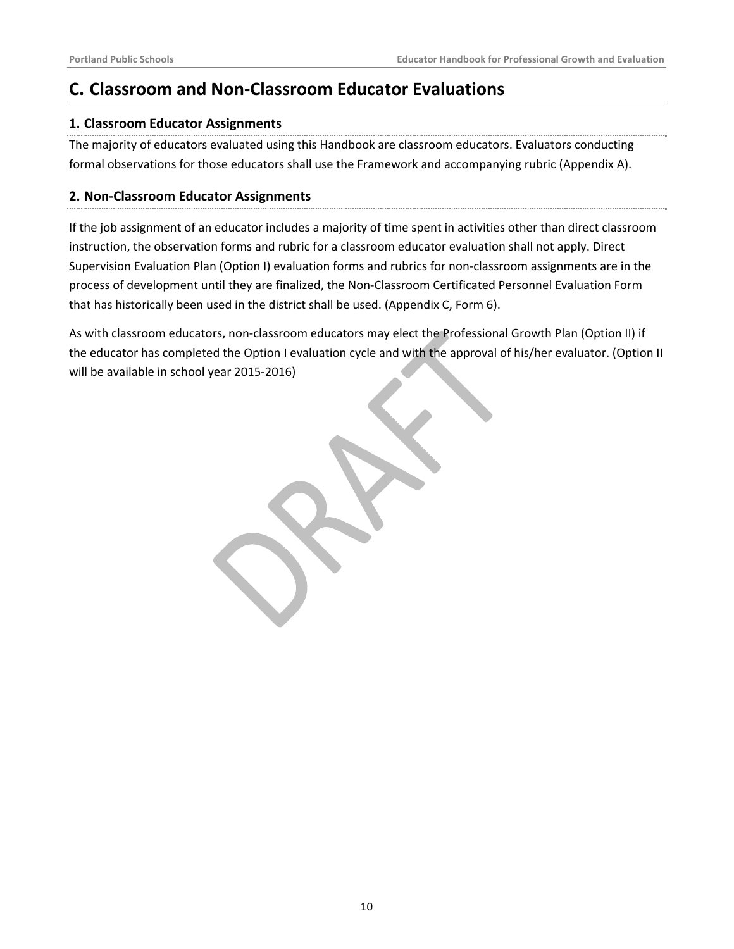## **C. Classroom and Non‐Classroom Educator Evaluations**

#### **1. Classroom Educator Assignments**

The majority of educators evaluated using this Handbook are classroom educators. Evaluators conducting formal observations for those educators shall use the Framework and accompanying rubric (Appendix A).

#### **2. Non‐Classroom Educator Assignments**

If the job assignment of an educator includes a majority of time spent in activities other than direct classroom instruction, the observation forms and rubric for a classroom educator evaluation shall not apply. Direct Supervision Evaluation Plan (Option I) evaluation forms and rubrics for non‐classroom assignments are in the process of development until they are finalized, the Non‐Classroom Certificated Personnel Evaluation Form that has historically been used in the district shall be used. (Appendix C, Form 6).

As with classroom educators, non‐classroom educators may elect the Professional Growth Plan (Option II) if the educator has completed the Option I evaluation cycle and with the approval of his/her evaluator. (Option II will be available in school year 2015‐2016)

10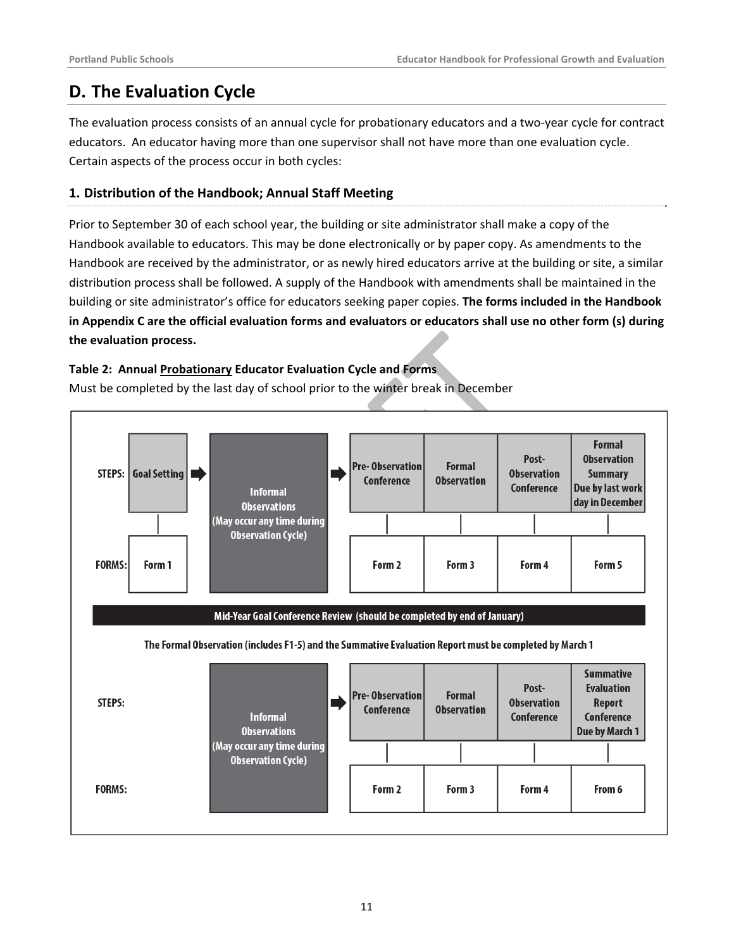## **D. The Evaluation Cycle**

The evaluation process consists of an annual cycle for probationary educators and a two‐year cycle for contract educators. An educator having more than one supervisor shall not have more than one evaluation cycle. Certain aspects of the process occur in both cycles:

#### **1. Distribution of the Handbook; Annual Staff Meeting**

Prior to September 30 of each school year, the building or site administrator shall make a copy of the Handbook available to educators. This may be done electronically or by paper copy. As amendments to the Handbook are received by the administrator, or as newly hired educators arrive at the building or site, a similar distribution process shall be followed. A supply of the Handbook with amendments shall be maintained in the building or site administrator's office for educators seeking paper copies. **The forms included in the Handbook** in Appendix C are the official evaluation forms and evaluators or educators shall use no other form (s) during **the evaluation process.**

#### **Table 2: Annual Probationary Educator Evaluation Cycle and Forms**

Must be completed by the last day of school prior to the winter break in December

![](_page_25_Figure_8.jpeg)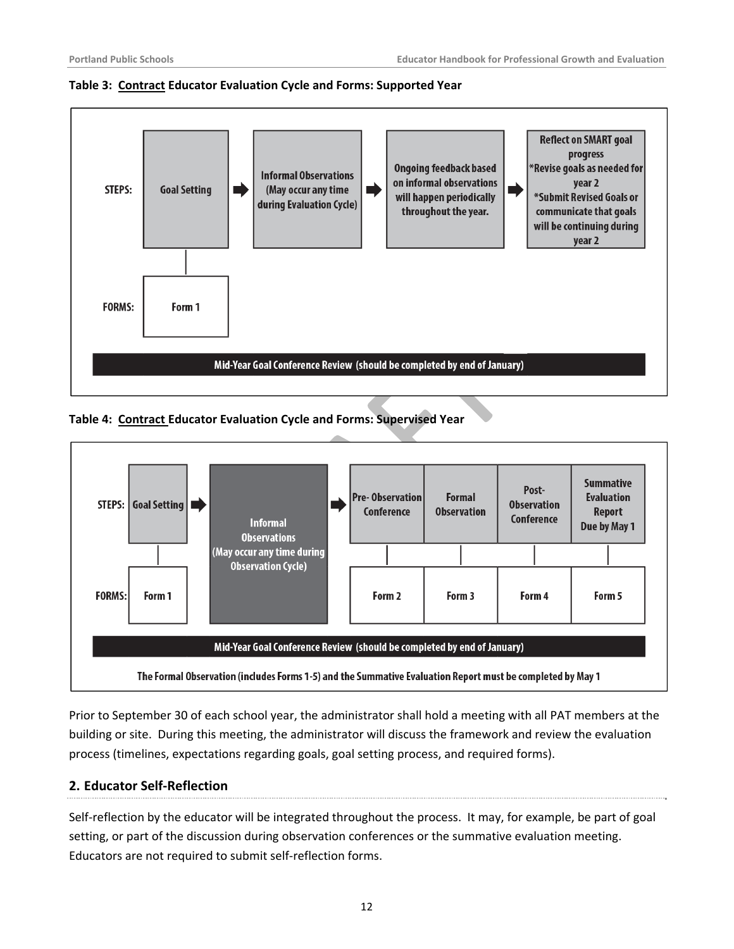![](_page_26_Figure_2.jpeg)

#### **Table 3: Contract Educator Evaluation Cycle and Forms: Supported Year**

![](_page_26_Figure_4.jpeg)

![](_page_26_Figure_5.jpeg)

Prior to September 30 of each school year, the administrator shall hold a meeting with all PAT members at the building or site. During this meeting, the administrator will discuss the framework and review the evaluation process (timelines, expectations regarding goals, goal setting process, and required forms).

#### **2. Educator Self‐Reflection**

Self-reflection by the educator will be integrated throughout the process. It may, for example, be part of goal setting, or part of the discussion during observation conferences or the summative evaluation meeting. Educators are not required to submit self‐reflection forms.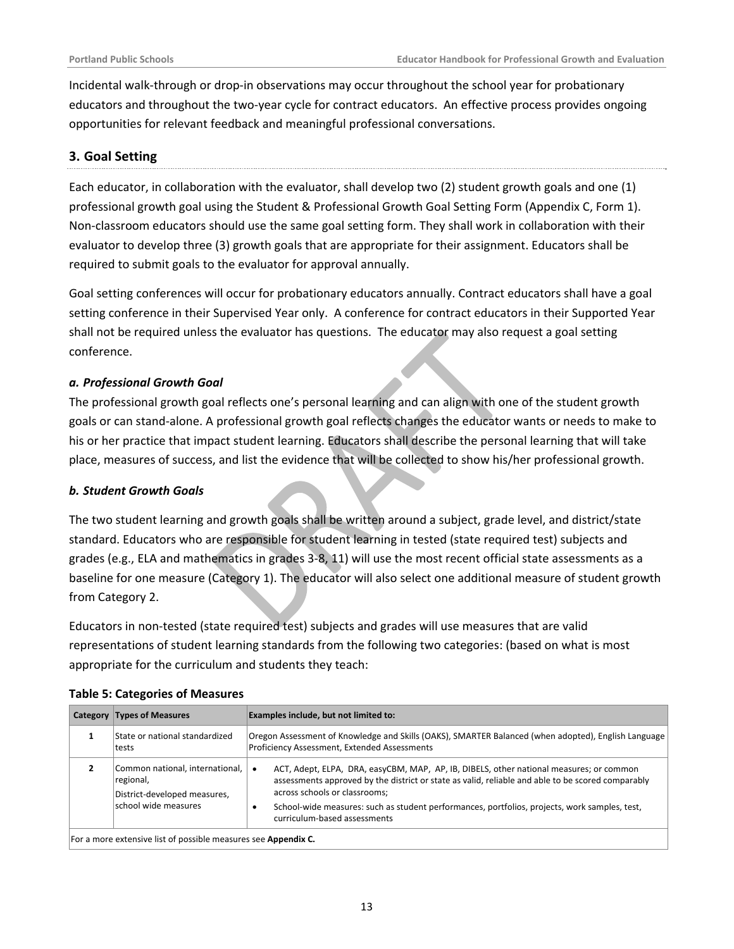Incidental walk‐through or drop‐in observations may occur throughout the school year for probationary educators and throughout the two-year cycle for contract educators. An effective process provides ongoing opportunities for relevant feedback and meaningful professional conversations.

#### **3. Goal Setting**

Each educator, in collaboration with the evaluator, shall develop two (2) student growth goals and one (1) professional growth goal using the Student & Professional Growth Goal Setting Form (Appendix C, Form 1). Non-classroom educators should use the same goal setting form. They shall work in collaboration with their evaluator to develop three (3) growth goals that are appropriate for their assignment. Educators shall be required to submit goals to the evaluator for approval annually.

Goal setting conferences will occur for probationary educators annually. Contract educators shall have a goal setting conference in their Supervised Year only. A conference for contract educators in their Supported Year shall not be required unless the evaluator has questions. The educator may also request a goal setting conference.

#### *a. Professional Growth Goal*

The professional growth goal reflects one's personal learning and can align with one of the student growth goals or can stand‐alone. A professional growth goal reflects changes the educator wants or needs to make to his or her practice that impact student learning. Educators shall describe the personal learning that will take place, measures of success, and list the evidence that will be collected to show his/her professional growth.

#### *b. Student Growth Goals*

The two student learning and growth goals shall be written around a subject, grade level, and district/state standard. Educators who are responsible for student learning in tested (state required test) subjects and grades (e.g., ELA and mathematics in grades 3‐8, 11) will use the most recent official state assessments as a baseline for one measure (Category 1). The educator will also select one additional measure of student growth from Category 2.

Educators in non‐tested (state required test) subjects and grades will use measures that are valid representations of student learning standards from the following two categories: (based on what is most appropriate for the curriculum and students they teach:

|                                                                | Category Types of Measures                                                   | Examples include, but not limited to:                                                                                                                                                                                         |  |
|----------------------------------------------------------------|------------------------------------------------------------------------------|-------------------------------------------------------------------------------------------------------------------------------------------------------------------------------------------------------------------------------|--|
|                                                                | State or national standardized<br>  tests                                    | Oregon Assessment of Knowledge and Skills (OAKS), SMARTER Balanced (when adopted), English Language<br><b>Proficiency Assessment, Extended Assessments</b>                                                                    |  |
|                                                                | Common national, international,<br>regional,<br>District-developed measures, | ACT, Adept, ELPA, DRA, easyCBM, MAP, AP, IB, DIBELS, other national measures; or common<br>assessments approved by the district or state as valid, reliable and able to be scored comparably<br>across schools or classrooms; |  |
|                                                                | school wide measures                                                         | School-wide measures: such as student performances, portfolios, projects, work samples, test,<br>curriculum-based assessments                                                                                                 |  |
| For a more extensive list of possible measures see Appendix C. |                                                                              |                                                                                                                                                                                                                               |  |

#### **Table 5: Categories of Measures**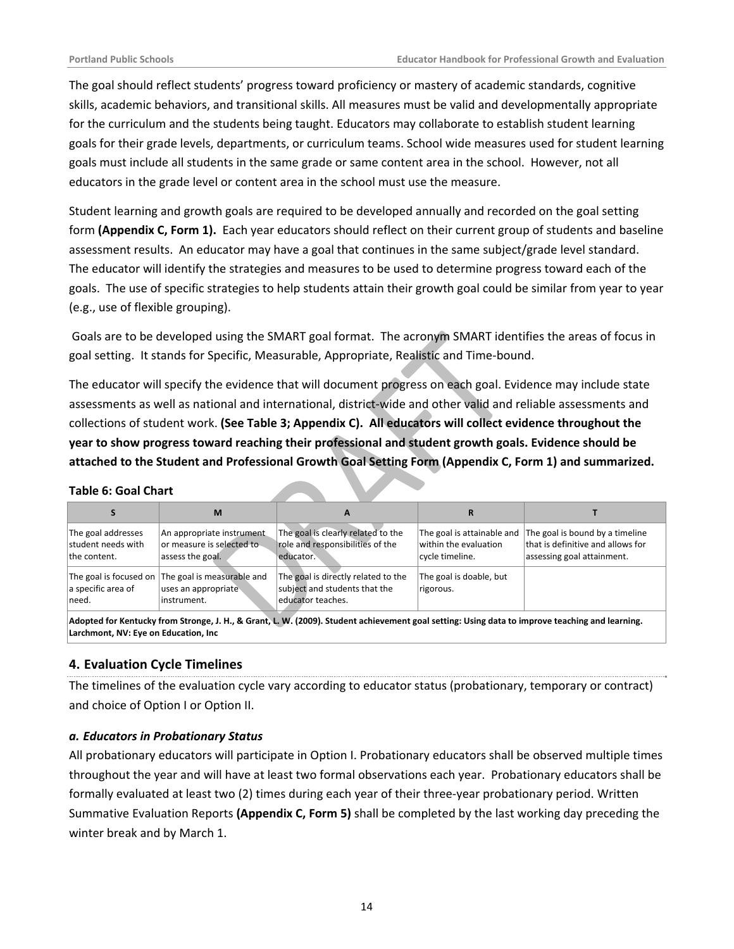The goal should reflect students' progress toward proficiency or mastery of academic standards, cognitive skills, academic behaviors, and transitional skills. All measures must be valid and developmentally appropriate for the curriculum and the students being taught. Educators may collaborate to establish student learning goals for their grade levels, departments, or curriculum teams. School wide measures used for student learning goals must include all students in the same grade or same content area in the school. However, not all educators in the grade level or content area in the school must use the measure.

Student learning and growth goals are required to be developed annually and recorded on the goal setting form **(Appendix C, Form 1).** Each year educators should reflect on their current group of students and baseline assessment results. An educator may have a goal that continues in the same subject/grade level standard. The educator will identify the strategies and measures to be used to determine progress toward each of the goals. The use of specific strategies to help students attain their growth goal could be similar from year to year (e.g., use of flexible grouping).

Goals are to be developed using the SMART goal format. The acronym SMART identifies the areas of focus in goal setting. It stands for Specific, Measurable, Appropriate, Realistic and Time‐bound.

The educator will specify the evidence that will document progress on each goal. Evidence may include state assessments as well as national and international, district‐wide and other valid and reliable assessments and collections of student work. **(See Table 3; Appendix C). All educators will collect evidence throughout the year to show progress toward reaching their professional and student growth goals. Evidence should be attached to the Student and Professional Growth Goal Setting Form (Appendix C, Form 1) and summarized.**

#### **Table 6: Goal Chart**

|                                                          | M                                                                                         | А                                                                                                                                         |                                          |                                                                                                                               |
|----------------------------------------------------------|-------------------------------------------------------------------------------------------|-------------------------------------------------------------------------------------------------------------------------------------------|------------------------------------------|-------------------------------------------------------------------------------------------------------------------------------|
| The goal addresses<br>student needs with<br>the content. | An appropriate instrument.<br>or measure is selected to<br>assess the goal.               | The goal is clearly related to the<br>role and responsibilities of the<br>educator.                                                       | within the evaluation<br>cycle timeline. | The goal is attainable and The goal is bound by a timeline<br>that is definitive and allows for<br>assessing goal attainment. |
| a specific area of<br>Ineed.                             | The goal is focused on The goal is measurable and<br>luses an appropriate<br>linstrument. | The goal is directly related to the<br>subject and students that the<br>educator teaches.                                                 | The goal is doable, but<br>rigorous.     |                                                                                                                               |
|                                                          |                                                                                           | A destral for Rostrobe from Atoma H H H O Angle H W (2000). And an exhibition to a control Hotel data to treasure to edition and language |                                          |                                                                                                                               |

\dopted for Kentucky from Stronge, J. H., & Grant, L. W. (2009). Student achievement goal setting: Using data to improve teaching and learning. **Larchmont, NV: Eye on Education, Inc**

#### **4. Evaluation Cycle Timelines**

The timelines of the evaluation cycle vary according to educator status (probationary, temporary or contract) and choice of Option I or Option II.

#### *a. Educators in Probationary Status*

All probationary educators will participate in Option I. Probationary educators shall be observed multiple times throughout the year and will have at least two formal observations each year. Probationary educators shall be formally evaluated at least two (2) times during each year of their three‐year probationary period. Written Summative Evaluation Reports **(Appendix C, Form 5)** shall be completed by the last working day preceding the winter break and by March 1.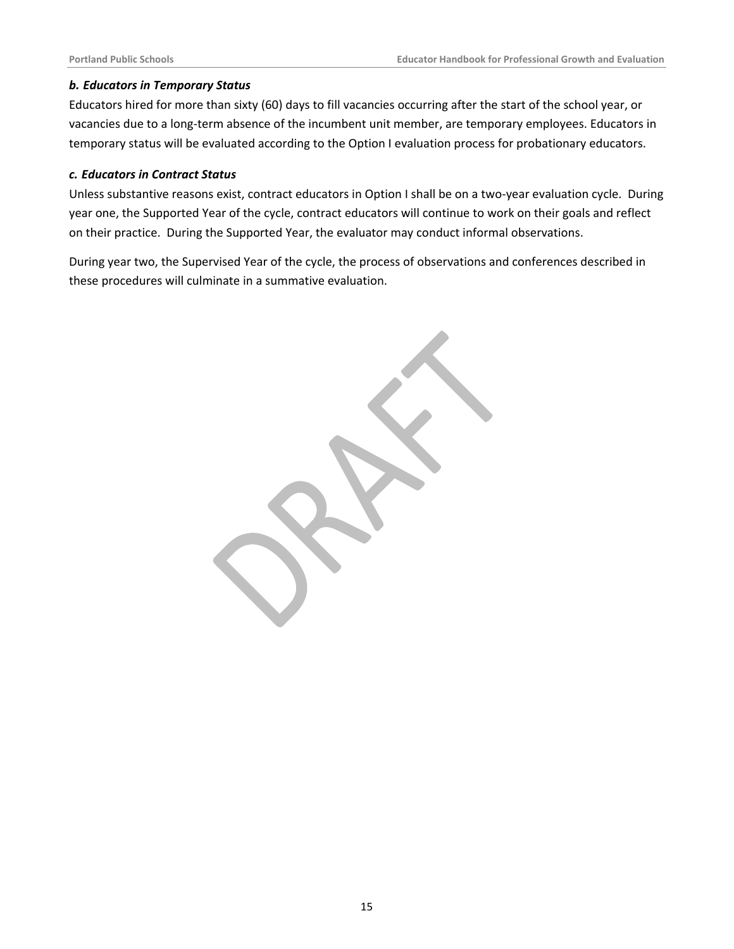#### *b. Educators in Temporary Status*

Educators hired for more than sixty (60) days to fill vacancies occurring after the start of the school year, or vacancies due to a long‐term absence of the incumbent unit member, are temporary employees. Educators in temporary status will be evaluated according to the Option I evaluation process for probationary educators.

#### *c. Educators in Contract Status*

Unless substantive reasons exist, contract educators in Option I shall be on a two‐year evaluation cycle. During year one, the Supported Year of the cycle, contract educators will continue to work on their goals and reflect on their practice. During the Supported Year, the evaluator may conduct informal observations.

During year two, the Supervised Year of the cycle, the process of observations and conferences described in these procedures will culminate in a summative evaluation.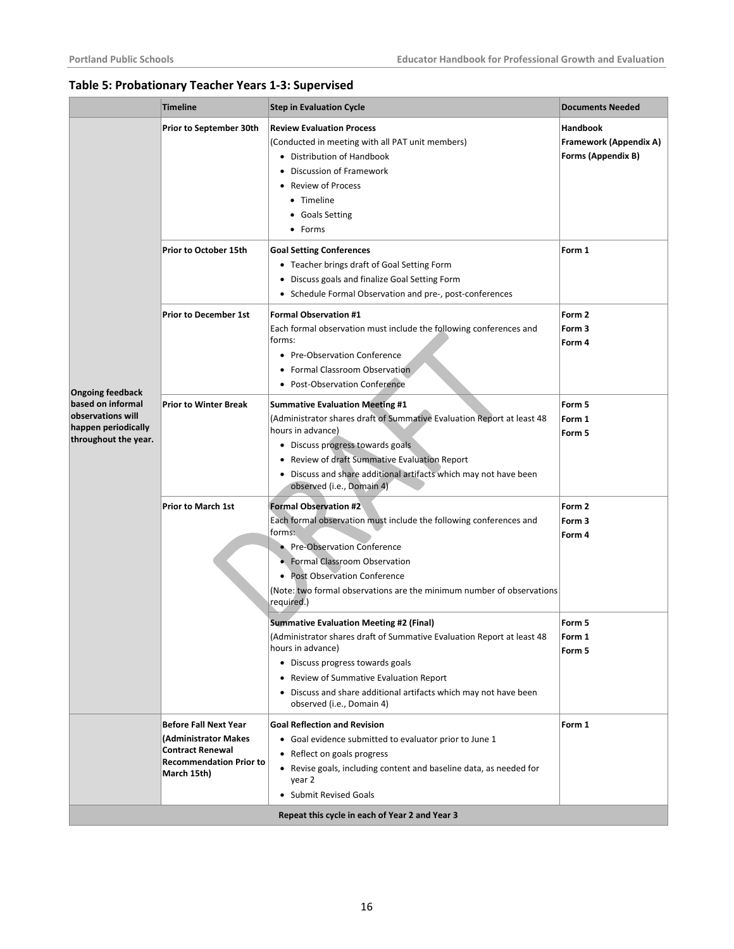#### **Table 5: Probationary Teacher Years 1‐3: Supervised**

|                                                                                                                  | <b>Timeline</b>                                                                                                                  | <b>Step in Evaluation Cycle</b>                                                                                                                                                                                                                                                                                             | <b>Documents Needed</b>                                         |
|------------------------------------------------------------------------------------------------------------------|----------------------------------------------------------------------------------------------------------------------------------|-----------------------------------------------------------------------------------------------------------------------------------------------------------------------------------------------------------------------------------------------------------------------------------------------------------------------------|-----------------------------------------------------------------|
| <b>Ongoing feedback</b><br>based on informal<br>observations will<br>happen periodically<br>throughout the year. | <b>Prior to September 30th</b>                                                                                                   | <b>Review Evaluation Process</b><br>(Conducted in meeting with all PAT unit members)<br>• Distribution of Handbook<br>Discussion of Framework<br><b>Review of Process</b><br>• Timeline<br>• Goals Setting<br>• Forms                                                                                                       | <b>Handbook</b><br>Framework (Appendix A)<br>Forms (Appendix B) |
|                                                                                                                  | Prior to October 15th                                                                                                            | <b>Goal Setting Conferences</b><br>• Teacher brings draft of Goal Setting Form<br>• Discuss goals and finalize Goal Setting Form<br>• Schedule Formal Observation and pre-, post-conferences                                                                                                                                | Form 1                                                          |
|                                                                                                                  | <b>Prior to December 1st</b>                                                                                                     | <b>Formal Observation #1</b><br>Each formal observation must include the following conferences and<br>forms:<br>• Pre-Observation Conference<br>• Formal Classroom Observation<br>• Post-Observation Conference                                                                                                             | Form 2<br>Form 3<br>Form 4                                      |
|                                                                                                                  | <b>Prior to Winter Break</b>                                                                                                     | <b>Summative Evaluation Meeting #1</b><br>(Administrator shares draft of Summative Evaluation Report at least 48<br>hours in advance)<br>• Discuss progress towards goals<br>• Review of draft Summative Evaluation Report<br>• Discuss and share additional artifacts which may not have been<br>observed (i.e., Domain 4) | Form 5<br>Form 1<br>Form 5                                      |
|                                                                                                                  | <b>Prior to March 1st</b>                                                                                                        | <b>Formal Observation #2</b><br>Each formal observation must include the following conferences and<br>forms:<br>• Pre-Observation Conference<br>• Formal Classroom Observation<br>• Post Observation Conference<br>(Note: two formal observations are the minimum number of observations<br>required.)                      | Form 2<br>Form 3<br>Form 4                                      |
|                                                                                                                  |                                                                                                                                  | Summative Evaluation Meeting #2 (Final)<br>(Administrator shares draft of Summative Evaluation Report at least 48<br>hours in advance)<br>• Discuss progress towards goals<br>• Review of Summative Evaluation Report<br>• Discuss and share additional artifacts which may not have been<br>observed (i.e., Domain 4)      | Form 5<br>Form 1<br>Form 5                                      |
|                                                                                                                  | <b>Before Fall Next Year</b><br>(Administrator Makes<br><b>Contract Renewal</b><br><b>Recommendation Prior to</b><br>March 15th) | <b>Goal Reflection and Revision</b><br>• Goal evidence submitted to evaluator prior to June 1<br>• Reflect on goals progress<br>• Revise goals, including content and baseline data, as needed for<br>year 2<br>• Submit Revised Goals                                                                                      | Form 1                                                          |
|                                                                                                                  |                                                                                                                                  | Repeat this cycle in each of Year 2 and Year 3                                                                                                                                                                                                                                                                              |                                                                 |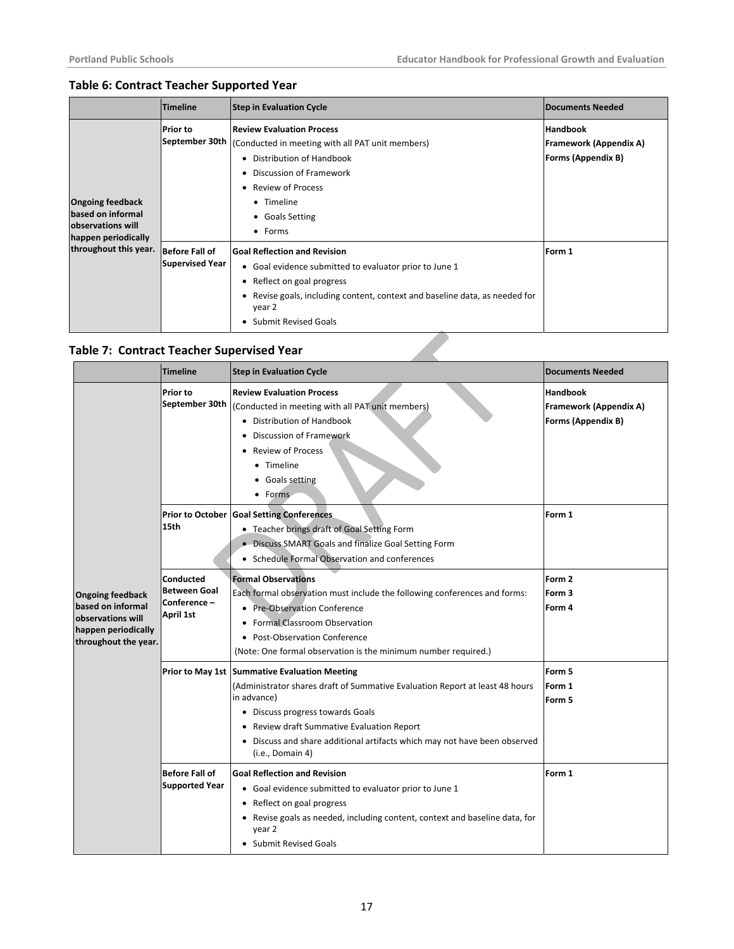#### **Table 6: Contract Teacher Supported Year**

|                                                                                                                   | <b>Timeline</b>                          | <b>Step in Evaluation Cycle</b>                                                                                                                                                                                                                | Documents Needed                                                 |
|-------------------------------------------------------------------------------------------------------------------|------------------------------------------|------------------------------------------------------------------------------------------------------------------------------------------------------------------------------------------------------------------------------------------------|------------------------------------------------------------------|
| <b>Ongoing feedback</b><br>based on informal<br>observations will<br>happen periodically<br>throughout this year. | Prior to<br>September 30th               | <b>Review Evaluation Process</b><br>(Conducted in meeting with all PAT unit members)<br>• Distribution of Handbook<br>Discussion of Framework<br>• Review of Process<br>• Timeline<br>• Goals Setting<br>$\bullet$ Forms                       | Handbook<br> Framework (Appendix A)<br><b>Forms (Appendix B)</b> |
|                                                                                                                   | Before Fall of<br><b>Supervised Year</b> | <b>Goal Reflection and Revision</b><br>• Goal evidence submitted to evaluator prior to June 1<br>• Reflect on goal progress<br>• Revise goals, including content, context and baseline data, as needed for<br>year 2<br>• Submit Revised Goals | Form 1                                                           |
| <b>Table 7: Contract Teacher Supervised Year</b>                                                                  |                                          |                                                                                                                                                                                                                                                |                                                                  |

#### **Table 7: Contract Teacher Supervised Year**

|                                                                                                                  | <b>Timeline</b>                                               | <b>Step in Evaluation Cycle</b>                                                                                                                                                                                                                                                                                             | Documents Needed                                                |
|------------------------------------------------------------------------------------------------------------------|---------------------------------------------------------------|-----------------------------------------------------------------------------------------------------------------------------------------------------------------------------------------------------------------------------------------------------------------------------------------------------------------------------|-----------------------------------------------------------------|
| <b>Ongoing feedback</b><br>based on informal<br>observations will<br>happen periodically<br>throughout the year. | Prior to<br>September 30th                                    | <b>Review Evaluation Process</b><br>(Conducted in meeting with all PAT unit members)<br>• Distribution of Handbook<br>Discussion of Framework<br><b>Review of Process</b><br>• Timeline<br>• Goals setting<br>$\bullet$ Forms                                                                                               | <b>Handbook</b><br>Framework (Appendix A)<br>Forms (Appendix B) |
|                                                                                                                  | 15th                                                          | Prior to October Goal Setting Conferences<br>• Teacher brings draft of Goal Setting Form<br>• Discuss SMART Goals and finalize Goal Setting Form<br>• Schedule Formal Observation and conferences                                                                                                                           | Form 1                                                          |
|                                                                                                                  | Conducted<br><b>Between Goal</b><br>Conference -<br>April 1st | <b>Formal Observations</b><br>Each formal observation must include the following conferences and forms:<br>• Pre-Observation Conference<br><b>Formal Classroom Observation</b><br>• Post-Observation Conference<br>(Note: One formal observation is the minimum number required.)                                           | Form 2<br>Form 3<br>Form 4                                      |
|                                                                                                                  |                                                               | Prior to May 1st Summative Evaluation Meeting<br>(Administrator shares draft of Summative Evaluation Report at least 48 hours<br>in advance)<br>• Discuss progress towards Goals<br>Review draft Summative Evaluation Report<br>Discuss and share additional artifacts which may not have been observed<br>(i.e., Domain 4) | Form 5<br>Form 1<br>Form 5                                      |
|                                                                                                                  | <b>Before Fall of</b><br><b>Supported Year</b>                | <b>Goal Reflection and Revision</b><br>• Goal evidence submitted to evaluator prior to June 1<br>• Reflect on goal progress<br>Revise goals as needed, including content, context and baseline data, for<br>year 2<br>• Submit Revised Goals                                                                                | Form 1                                                          |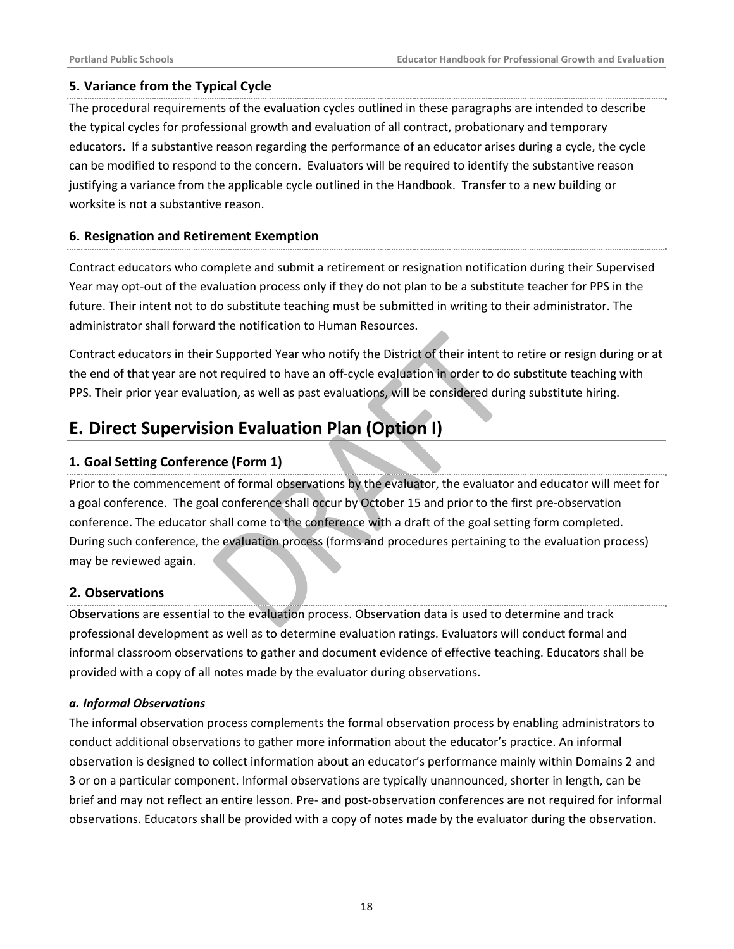#### **5. Variance from the Typical Cycle**

The procedural requirements of the evaluation cycles outlined in these paragraphs are intended to describe the typical cycles for professional growth and evaluation of all contract, probationary and temporary educators. If a substantive reason regarding the performance of an educator arises during a cycle, the cycle can be modified to respond to the concern. Evaluators will be required to identify the substantive reason justifying a variance from the applicable cycle outlined in the Handbook. Transfer to a new building or worksite is not a substantive reason.

#### **6. Resignation and Retirement Exemption**

Contract educators who complete and submit a retirement or resignation notification during their Supervised Year may opt‐out of the evaluation process only if they do not plan to be a substitute teacher for PPS in the future. Their intent not to do substitute teaching must be submitted in writing to their administrator. The administrator shall forward the notification to Human Resources.

Contract educators in their Supported Year who notify the District of their intent to retire or resign during or at the end of that year are not required to have an off‐cycle evaluation in order to do substitute teaching with PPS. Their prior year evaluation, as well as past evaluations, will be considered during substitute hiring.

## **E. Direct Supervision Evaluation Plan (Option I)**

#### **1. Goal Setting Conference (Form 1)**

Prior to the commencement of formal observations by the evaluator, the evaluator and educator will meet for a goal conference. The goal conference shall occur by October 15 and prior to the first pre‐observation conference. The educator shall come to the conference with a draft of the goal setting form completed. During such conference, the evaluation process (forms and procedures pertaining to the evaluation process) may be reviewed again.

#### **2. Observations**

Observations are essential to the evaluation process. Observation data is used to determine and track professional development as well as to determine evaluation ratings. Evaluators will conduct formal and informal classroom observations to gather and document evidence of effective teaching. Educators shall be provided with a copy of all notes made by the evaluator during observations.

#### *a. Informal Observations*

The informal observation process complements the formal observation process by enabling administrators to conduct additional observations to gather more information about the educator's practice. An informal observation is designed to collect information about an educator's performance mainly within Domains 2 and 3 or on a particular component. Informal observations are typically unannounced, shorter in length, can be brief and may not reflect an entire lesson. Pre‐ and post‐observation conferences are not required for informal observations. Educators shall be provided with a copy of notes made by the evaluator during the observation.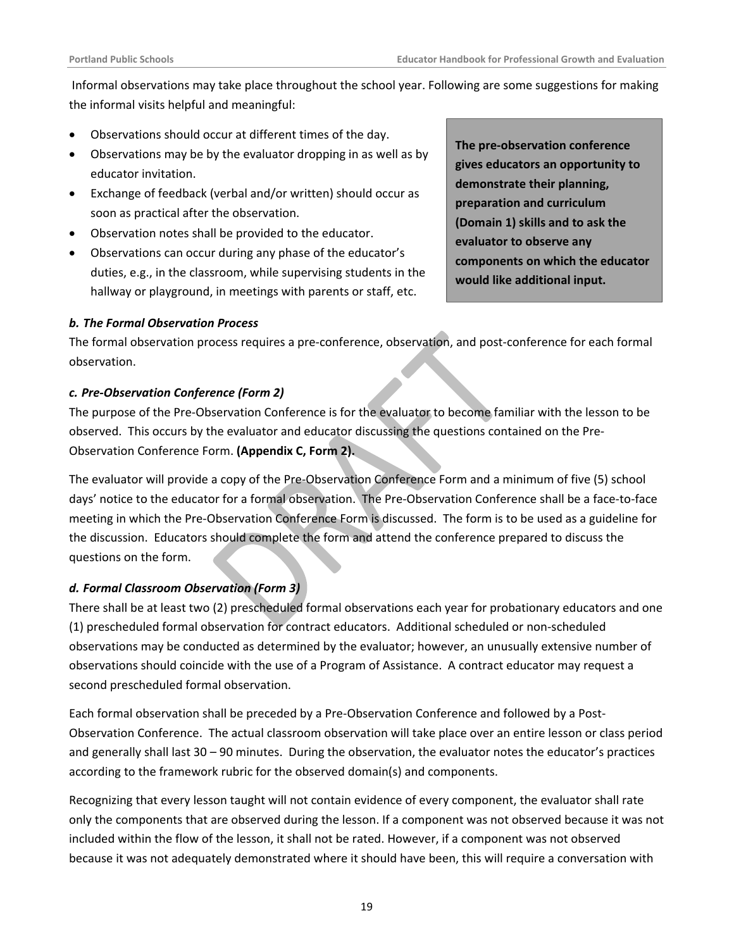Informal observations may take place throughout the school year. Following are some suggestions for making the informal visits helpful and meaningful:

- Observations should occur at different times of the day.
- Observations may be by the evaluator dropping in as well as by educator invitation.
- Exchange of feedback (verbal and/or written) should occur as soon as practical after the observation.
- Observation notes shall be provided to the educator.
- Observations can occur during any phase of the educator's duties, e.g., in the classroom, while supervising students in the hallway or playground, in meetings with parents or staff, etc.

**The pre‐observation conference gives educators an opportunity to demonstrate their planning, preparation and curriculum (Domain 1) skills and to ask the evaluator to observe any components on which the educator would like additional input.**

#### *b. The Formal Observation Process*

The formal observation process requires a pre‐conference, observation, and post‐conference for each formal observation.

#### *c. Pre‐Observation Conference (Form 2)*

The purpose of the Pre‐Observation Conference is for the evaluator to become familiar with the lesson to be observed. This occurs by the evaluator and educator discussing the questions contained on the Pre‐ Observation Conference Form. **(Appendix C, Form 2).**

The evaluator will provide a copy of the Pre‐Observation Conference Form and a minimum of five (5) school days' notice to the educator for a formal observation. The Pre‐Observation Conference shall be a face‐to‐face meeting in which the Pre‐Observation Conference Form is discussed. The form is to be used as a guideline for the discussion. Educators should complete the form and attend the conference prepared to discuss the questions on the form.

#### *d. Formal Classroom Observation (Form 3)*

There shall be at least two (2) prescheduled formal observations each year for probationary educators and one (1) prescheduled formal observation for contract educators. Additional scheduled or non‐scheduled observations may be conducted as determined by the evaluator; however, an unusually extensive number of observations should coincide with the use of a Program of Assistance. A contract educator may request a second prescheduled formal observation.

Each formal observation shall be preceded by a Pre‐Observation Conference and followed by a Post‐ Observation Conference. The actual classroom observation will take place over an entire lesson or class period and generally shall last 30 – 90 minutes. During the observation, the evaluator notes the educator's practices according to the framework rubric for the observed domain(s) and components.

Recognizing that every lesson taught will not contain evidence of every component, the evaluator shall rate only the components that are observed during the lesson. If a component was not observed because it was not included within the flow of the lesson, it shall not be rated. However, if a component was not observed because it was not adequately demonstrated where it should have been, this will require a conversation with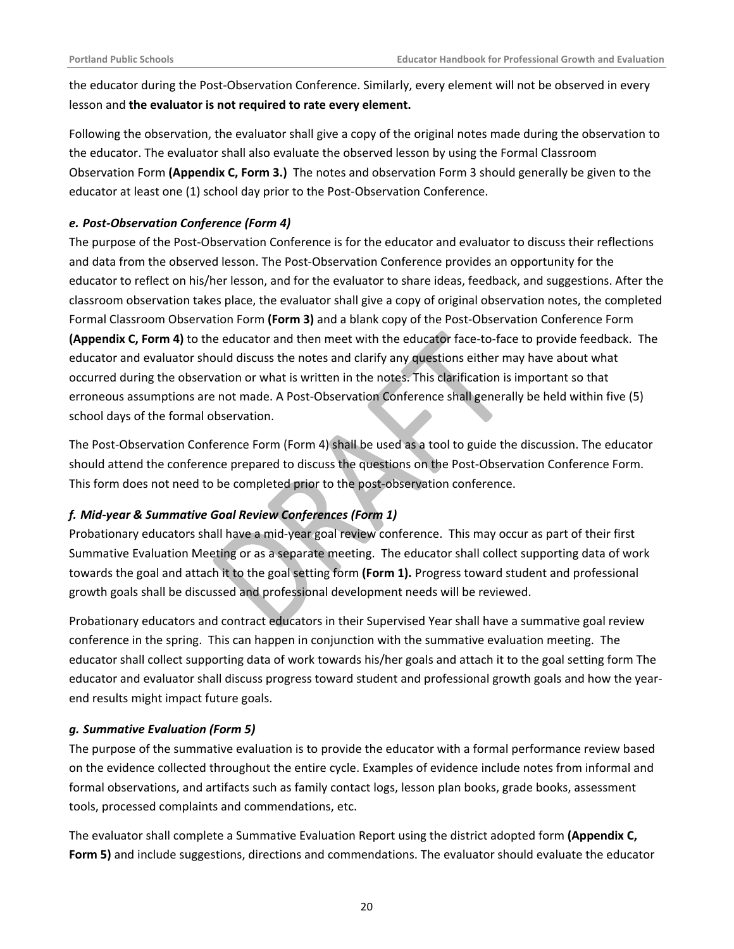the educator during the Post‐Observation Conference. Similarly, every element will not be observed in every lesson and **the evaluator is not required to rate every element.**

Following the observation, the evaluator shall give a copy of the original notes made during the observation to the educator. The evaluator shall also evaluate the observed lesson by using the Formal Classroom Observation Form **(Appendix C, Form 3.)** The notes and observation Form 3 should generally be given to the educator at least one (1) school day prior to the Post‐Observation Conference.

#### *e. Post‐Observation Conference (Form 4)*

The purpose of the Post‐Observation Conference is for the educator and evaluator to discuss their reflections and data from the observed lesson. The Post‐Observation Conference provides an opportunity for the educator to reflect on his/her lesson, and for the evaluator to share ideas, feedback, and suggestions. After the classroom observation takes place, the evaluator shall give a copy of original observation notes, the completed Formal Classroom Observation Form **(Form 3)** and a blank copy of the Post‐Observation Conference Form **(Appendix C, Form 4)** to the educator and then meet with the educator face‐to‐face to provide feedback. The educator and evaluator should discuss the notes and clarify any questions either may have about what occurred during the observation or what is written in the notes. This clarification is important so that erroneous assumptions are not made. A Post-Observation Conference shall generally be held within five (5) school days of the formal observation.

The Post‐Observation Conference Form (Form 4) shall be used as a tool to guide the discussion. The educator should attend the conference prepared to discuss the questions on the Post‐Observation Conference Form. This form does not need to be completed prior to the post-observation conference.

#### *f. Mid‐year & Summative Goal Review Conferences (Form 1)*

Probationary educators shall have a mid‐year goal review conference. This may occur as part of their first Summative Evaluation Meeting or as a separate meeting. The educator shall collect supporting data of work towards the goal and attach it to the goal setting form **(Form 1).** Progress toward student and professional growth goals shall be discussed and professional development needs will be reviewed.

Probationary educators and contract educators in their Supervised Year shall have a summative goal review conference in the spring. This can happen in conjunction with the summative evaluation meeting. The educator shall collect supporting data of work towards his/her goals and attach it to the goal setting form The educator and evaluator shall discuss progress toward student and professional growth goals and how the year‐ end results might impact future goals.

#### *g. Summative Evaluation (Form 5)*

The purpose of the summative evaluation is to provide the educator with a formal performance review based on the evidence collected throughout the entire cycle. Examples of evidence include notes from informal and formal observations, and artifacts such as family contact logs, lesson plan books, grade books, assessment tools, processed complaints and commendations, etc.

The evaluator shall complete a Summative Evaluation Report using the district adopted form **(Appendix C, Form 5)** and include suggestions, directions and commendations. The evaluator should evaluate the educator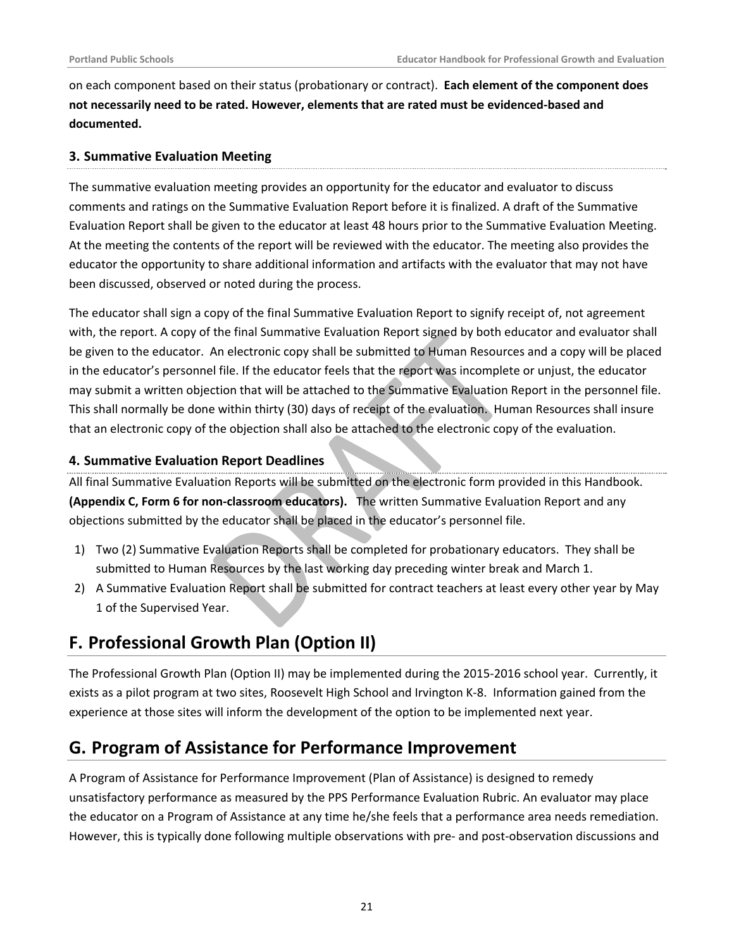on each component based on their status (probationary or contract). **Each element of the component does not necessarily need to be rated. However, elements that are rated must be evidenced‐based and documented.**

#### **3. Summative Evaluation Meeting**

The summative evaluation meeting provides an opportunity for the educator and evaluator to discuss comments and ratings on the Summative Evaluation Report before it is finalized. A draft of the Summative Evaluation Report shall be given to the educator at least 48 hours prior to the Summative Evaluation Meeting. At the meeting the contents of the report will be reviewed with the educator. The meeting also provides the educator the opportunity to share additional information and artifacts with the evaluator that may not have been discussed, observed or noted during the process.

The educator shall sign a copy of the final Summative Evaluation Report to signify receipt of, not agreement with, the report. A copy of the final Summative Evaluation Report signed by both educator and evaluator shall be given to the educator. An electronic copy shall be submitted to Human Resources and a copy will be placed in the educator's personnel file. If the educator feels that the report was incomplete or unjust, the educator may submit a written objection that will be attached to the Summative Evaluation Report in the personnel file. This shall normally be done within thirty (30) days of receipt of the evaluation. Human Resources shall insure that an electronic copy of the objection shall also be attached to the electronic copy of the evaluation.

#### **4. Summative Evaluation Report Deadlines**

All final Summative Evaluation Reports will be submitted on the electronic form provided in this Handbook. **(Appendix C, Form 6 for non‐classroom educators).** The written Summative Evaluation Report and any objections submitted by the educator shall be placed in the educator's personnel file.

- 1) Two (2) Summative Evaluation Reports shall be completed for probationary educators. They shall be submitted to Human Resources by the last working day preceding winter break and March 1.
- 2) A Summative Evaluation Report shall be submitted for contract teachers at least every other year by May 1 of the Supervised Year.

## **F. Professional Growth Plan (Option II)**

The Professional Growth Plan (Option II) may be implemented during the 2015‐2016 school year. Currently, it exists as a pilot program at two sites, Roosevelt High School and Irvington K‐8. Information gained from the experience at those sites will inform the development of the option to be implemented next year.

## **G. Program of Assistance for Performance Improvement**

A Program of Assistance for Performance Improvement (Plan of Assistance) is designed to remedy unsatisfactory performance as measured by the PPS Performance Evaluation Rubric. An evaluator may place the educator on a Program of Assistance at any time he/she feels that a performance area needs remediation. However, this is typically done following multiple observations with pre‐ and post‐observation discussions and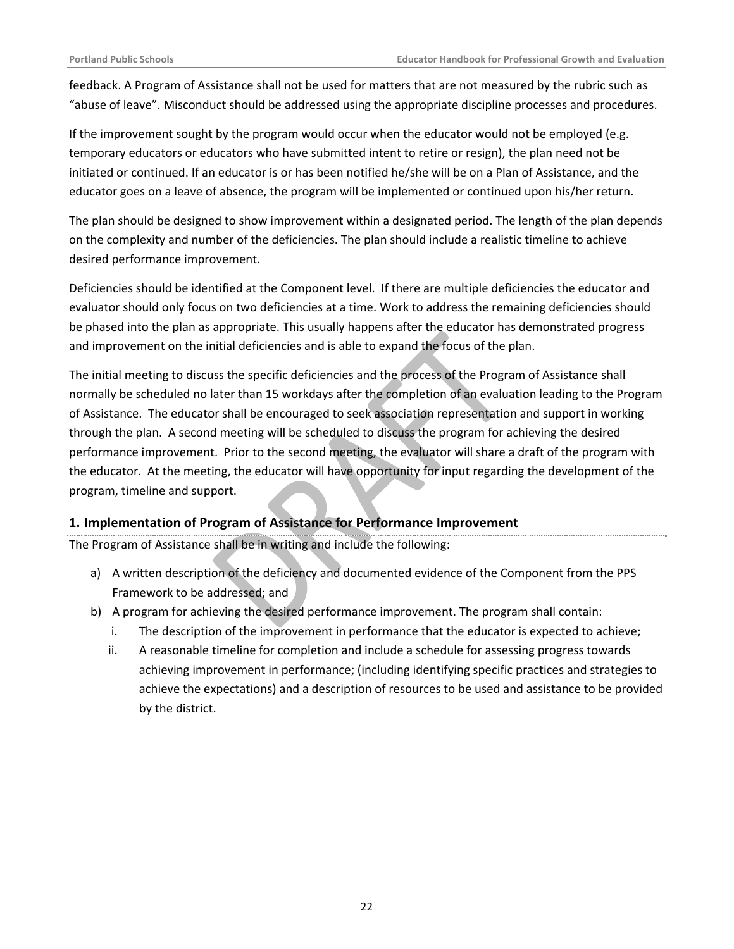feedback. A Program of Assistance shall not be used for matters that are not measured by the rubric such as "abuse of leave". Misconduct should be addressed using the appropriate discipline processes and procedures.

If the improvement sought by the program would occur when the educator would not be employed (e.g. temporary educators or educators who have submitted intent to retire or resign), the plan need not be initiated or continued. If an educator is or has been notified he/she will be on a Plan of Assistance, and the educator goes on a leave of absence, the program will be implemented or continued upon his/her return.

The plan should be designed to show improvement within a designated period. The length of the plan depends on the complexity and number of the deficiencies. The plan should include a realistic timeline to achieve desired performance improvement.

Deficiencies should be identified at the Component level. If there are multiple deficiencies the educator and evaluator should only focus on two deficiencies at a time. Work to address the remaining deficiencies should be phased into the plan as appropriate. This usually happens after the educator has demonstrated progress and improvement on the initial deficiencies and is able to expand the focus of the plan.

The initial meeting to discuss the specific deficiencies and the process of the Program of Assistance shall normally be scheduled no later than 15 workdays after the completion of an evaluation leading to the Program of Assistance. The educator shall be encouraged to seek association representation and support in working through the plan. A second meeting will be scheduled to discuss the program for achieving the desired performance improvement. Prior to the second meeting, the evaluator will share a draft of the program with the educator. At the meeting, the educator will have opportunity for input regarding the development of the program, timeline and support.

#### **1. Implementation of Program of Assistance for Performance Improvement**

The Program of Assistance shall be in writing and include the following:

- a) A written description of the deficiency and documented evidence of the Component from the PPS Framework to be addressed; and
- b) A program for achieving the desired performance improvement. The program shall contain:
	- i. The description of the improvement in performance that the educator is expected to achieve;
	- ii. A reasonable timeline for completion and include a schedule for assessing progress towards achieving improvement in performance; (including identifying specific practices and strategies to achieve the expectations) and a description of resources to be used and assistance to be provided by the district.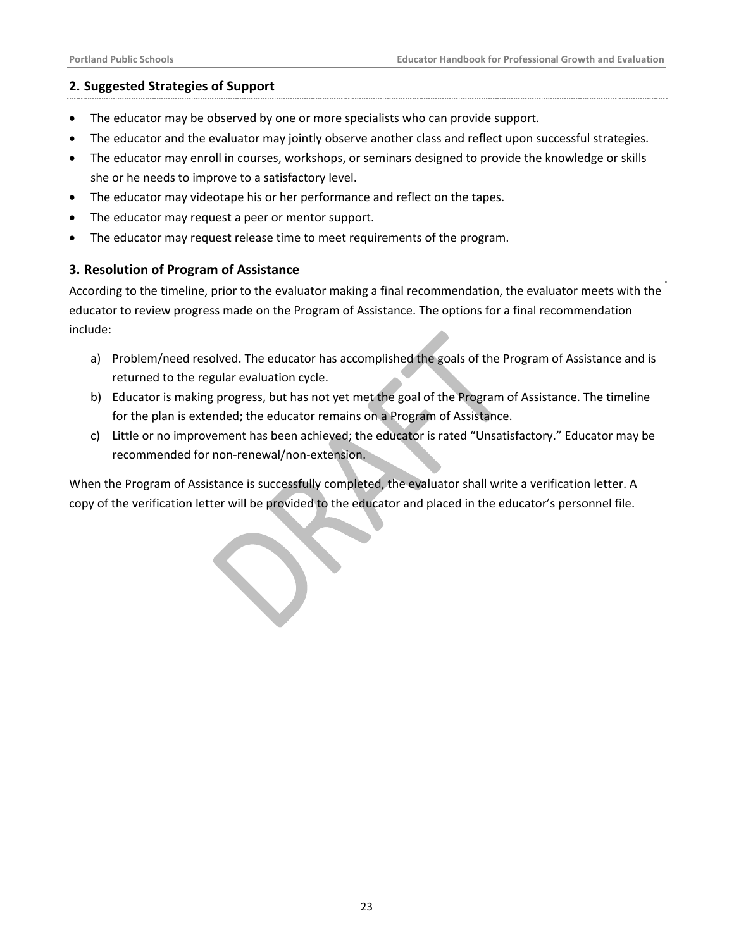#### **2. Suggested Strategies of Support**

- The educator may be observed by one or more specialists who can provide support.
- The educator and the evaluator may jointly observe another class and reflect upon successful strategies.
- The educator may enroll in courses, workshops, or seminars designed to provide the knowledge or skills she or he needs to improve to a satisfactory level.
- The educator may videotape his or her performance and reflect on the tapes.
- The educator may request a peer or mentor support.
- The educator may request release time to meet requirements of the program.

#### **3. Resolution of Program of Assistance**

According to the timeline, prior to the evaluator making a final recommendation, the evaluator meets with the educator to review progress made on the Program of Assistance. The options for a final recommendation include:

- a) Problem/need resolved. The educator has accomplished the goals of the Program of Assistance and is returned to the regular evaluation cycle.
- b) Educator is making progress, but has not yet met the goal of the Program of Assistance. The timeline for the plan is extended; the educator remains on a Program of Assistance.
- c) Little or no improvement has been achieved; the educator is rated "Unsatisfactory." Educator may be recommended for non‐renewal/non‐extension.

When the Program of Assistance is successfully completed, the evaluator shall write a verification letter. A copy of the verification letter will be provided to the educator and placed in the educator's personnel file.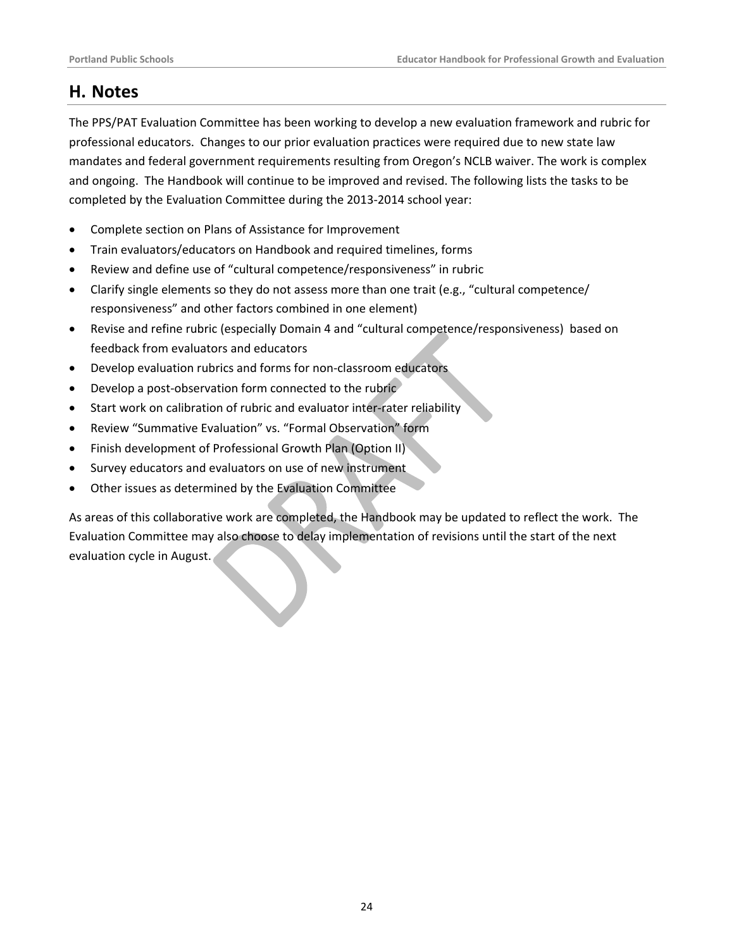## **H. Notes**

The PPS/PAT Evaluation Committee has been working to develop a new evaluation framework and rubric for professional educators. Changes to our prior evaluation practices were required due to new state law mandates and federal government requirements resulting from Oregon's NCLB waiver. The work is complex and ongoing. The Handbook will continue to be improved and revised. The following lists the tasks to be completed by the Evaluation Committee during the 2013‐2014 school year:

- Complete section on Plans of Assistance for Improvement
- Train evaluators/educators on Handbook and required timelines, forms
- Review and define use of "cultural competence/responsiveness" in rubric
- Clarify single elements so they do not assess more than one trait (e.g., "cultural competence/ responsiveness" and other factors combined in one element)
- Revise and refine rubric (especially Domain 4 and "cultural competence/responsiveness) based on feedback from evaluators and educators
- Develop evaluation rubrics and forms for non-classroom educators
- Develop a post-observation form connected to the rubric
- Start work on calibration of rubric and evaluator inter‐rater reliability
- Review "Summative Evaluation" vs. "Formal Observation" form
- Finish development of Professional Growth Plan (Option II)
- Survey educators and evaluators on use of new instrument
- Other issues as determined by the Evaluation Committee

As areas of this collaborative work are completed, the Handbook may be updated to reflect the work. The Evaluation Committee may also choose to delay implementation of revisions until the start of the next evaluation cycle in August.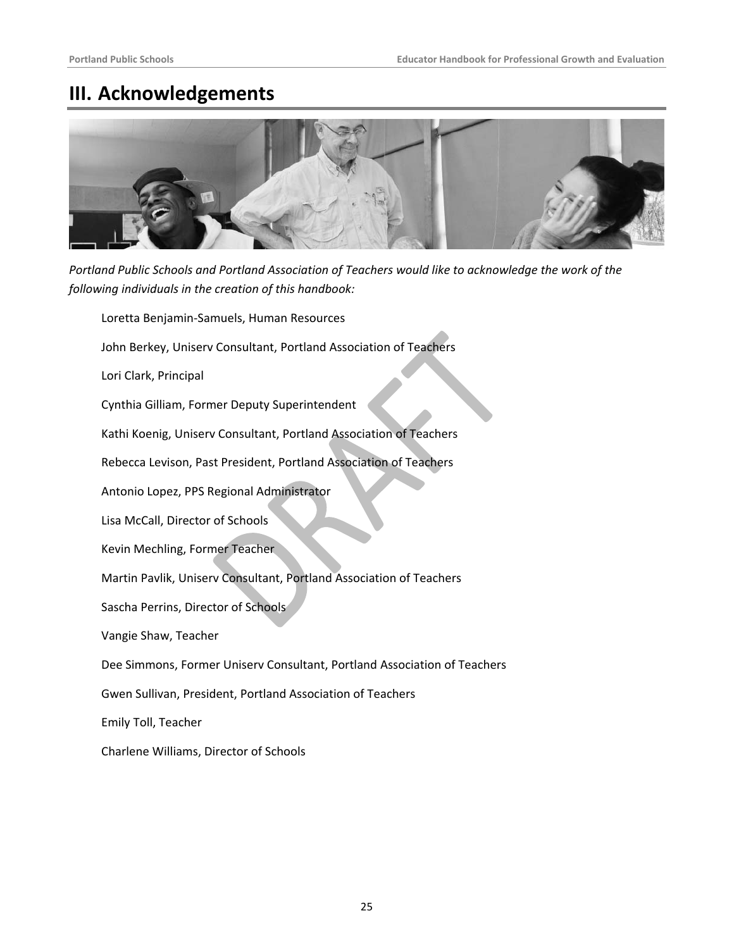## **III. Acknowledgements**

![](_page_39_Picture_3.jpeg)

*Portland Public Schools and Portland Association of Teachers would like to acknowledge the work of the following individuals in the creation of this handbook:*

Loretta Benjamin‐Samuels, Human Resources John Berkey, Uniserv Consultant, Portland Association of Teachers Lori Clark, Principal Cynthia Gilliam, Former Deputy Superintendent Kathi Koenig, Uniserv Consultant, Portland Association of Teachers Rebecca Levison, Past President, Portland Association of Teachers Antonio Lopez, PPS Regional Administrator Lisa McCall, Director of Schools Kevin Mechling, Former Teacher Martin Pavlik, Uniserv Consultant, Portland Association of Teachers Sascha Perrins, Director of Schools Vangie Shaw, Teacher Dee Simmons, Former Uniserv Consultant, Portland Association of Teachers Gwen Sullivan, President, Portland Association of Teachers Emily Toll, Teacher Charlene Williams, Director of Schools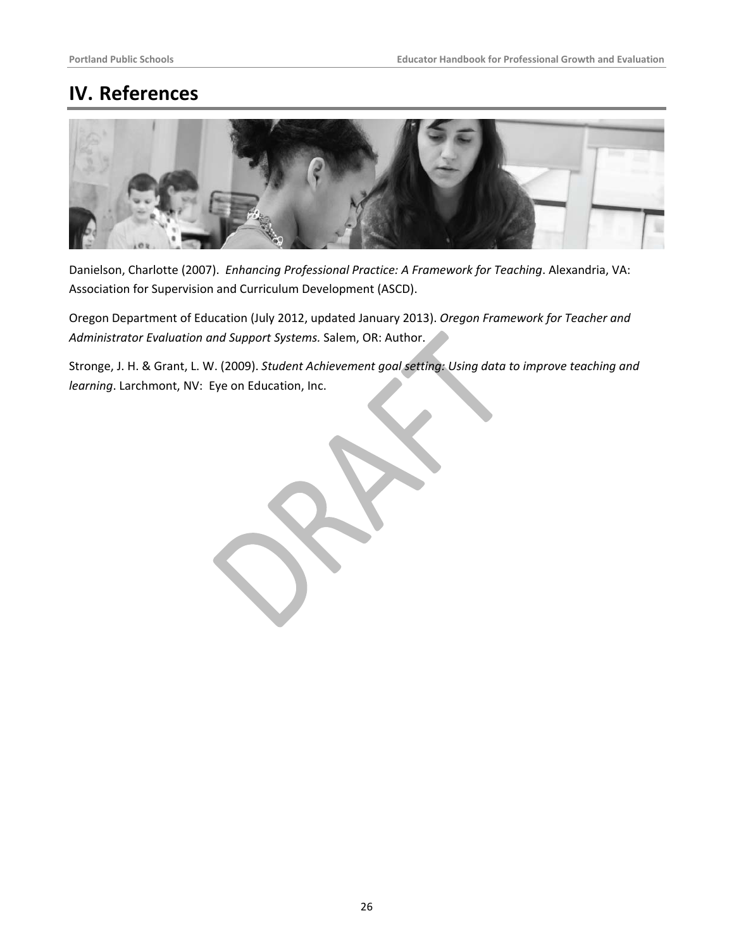## **IV. References**

![](_page_40_Picture_3.jpeg)

Danielson, Charlotte (2007). *Enhancing Professional Practice: A Framework for Teaching*. Alexandria, VA: Association for Supervision and Curriculum Development (ASCD).

Oregon Department of Education (July 2012, updated January 2013). *Oregon Framework for Teacher and Administrator Evaluation and Support Systems.* Salem, OR: Author.

Stronge, J. H. & Grant, L. W. (2009). *Student Achievement goal setting: Using data to improve teaching and learning*. Larchmont, NV: Eye on Education, Inc.

![](_page_40_Picture_7.jpeg)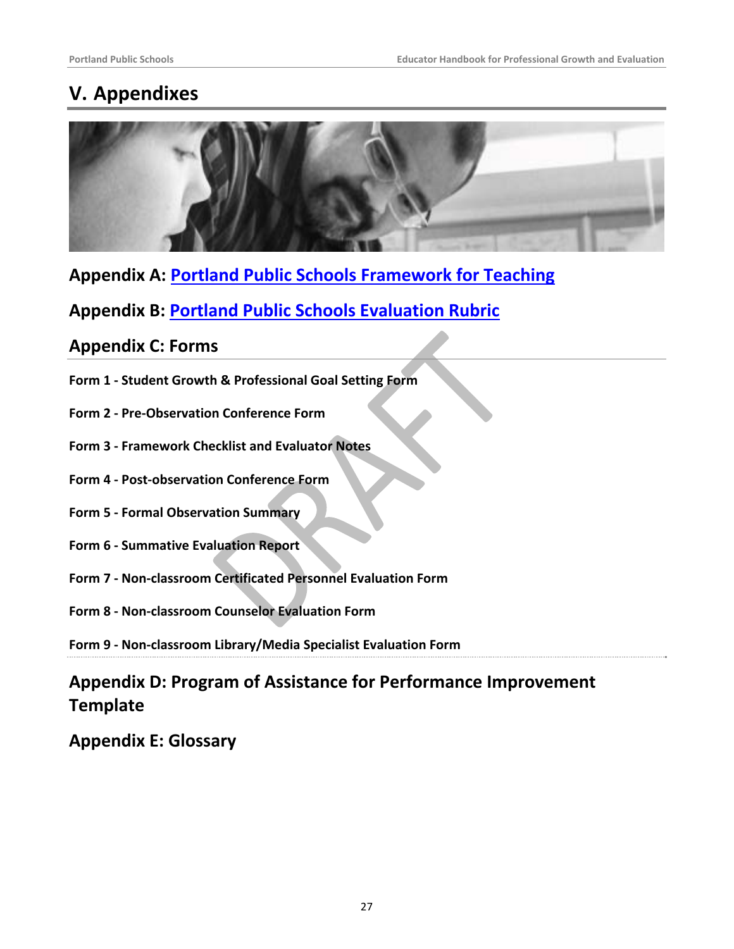## **V. Appendixes**

![](_page_41_Picture_3.jpeg)

**Appendix A: Portland Public Schools Framework for Teaching**

**Appendix B: Portland Public Schools Evaluation Rubric** 

## **Appendix C: Forms**

- **Form 1 ‐ Student Growth & Professional Goal Setting Form**
- **Form 2 ‐ Pre‐Observation Conference Form**
- **Form 3 ‐ Framework Checklist and Evaluator Notes**
- **Form 4 ‐ Post‐observation Conference Form**
- **Form 5 ‐ Formal Observation Summary**
- **Form 6 ‐ Summative Evaluation Report**
- **Form 7 ‐ Non‐classroom Certificated Personnel Evaluation Form**
- **Form 8 ‐ Non‐classroom Counselor Evaluation Form**
- **Form 9 ‐ Non‐classroom Library/Media Specialist Evaluation Form**

## **Appendix D: Program of Assistance for Performance Improvement Template**

**Appendix E: Glossary**